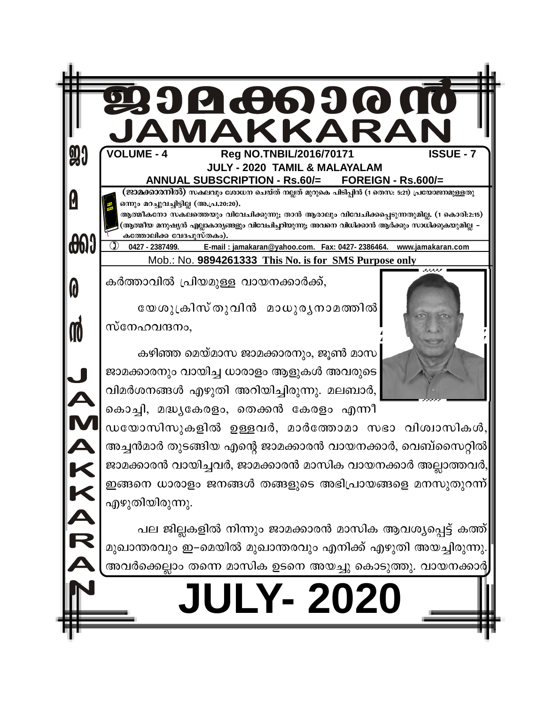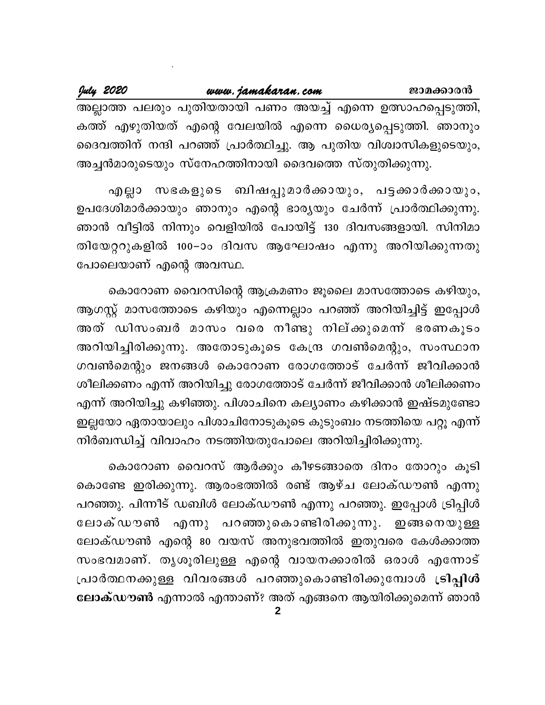www.jamakaran.com July 2020 ജാമക്കാരൻ അല്ലാത്ത പലരും പുതിയതായി പണം അയച്ച് എന്നെ ഉത്സാഹപ്പെടുത്തി, കത്ത് എഴുതിയത് എന്റെ വേലയിൽ എന്നെ ധൈര്യപ്പെടുത്തി. ഞാനും ദൈവത്തിന് നന്ദി പറഞ്ഞ് പ്രാർത്ഥിച്ചു. ആ പുതിയ വിശ്വാസികളുടെയും, അച്ചൻമാരുടെയും സ്നേഹത്തിനായി ദൈവത്തെ സ്തുതിക്കുന്നു.

എല്ലാ സഭകളുടെ ബിഷപ്പുമാർക്കായും, പട്ടക്കാർക്കായും, ഉപദേശിമാർക്കായും ഞാനും എന്റെ ഭാര്യയും ചേർന്ന് പ്രാർത്ഥിക്കുന്നു. ഞാൻ വീട്ടിൽ നിന്നും വെളിയിൽ പോയിട്ട് 130 ദിവസങ്ങളായി. സിനിമാ തിയേറ്ററുകളിൽ 100–ാം ദിവസ ആഘോഷം എന്നു അറിയിക്കുന്നതു പോലെയാണ് എന്റെ അവസ്ഥ.

കൊറോണ വൈറസിന്റെ ആക്രമണം ജൂലൈ മാസത്തോടെ കഴിയും, ആഗസ്റ്റ് മാസത്തോടെ കഴിയും എന്നെല്ലാം പറഞ്ഞ് അറിയിച്ചിട്ട് ഇപ്പോൾ അത് ഡിസംബർ മാസം വരെ നീണ്ടു നില്ക്കുമെന്ന് ഭരണകൂടം അറിയിച്ചിരിക്കുന്നു. അതോടുകൂടെ കേന്ദ്ര ഗവൺമെന്റും, സംസ്ഥാന ഗവൺമെന്റും ജനങ്ങൾ കൊറോണ രോഗത്തോട് ചേർന്ന് ജീവിക്കാൻ ശീലിക്കണം എന്ന് അറിയിച്ചു രോഗത്തോട് ചേർന്ന് ജീവിക്കാൻ ശീലിക്കണം എന്ന് അറിയിച്ചു കഴിഞ്ഞു. പിശാചിനെ കല്യാണം കഴിക്കാൻ ഇഷ്ടമുണ്ടോ ഇല്ലയോ ഏതായാലും പിശാചിനോടുകൂടെ കുടുംബം നടത്തിയെ പറ്റൂ എന്ന് നിർബന്ധിച്ച് വിവാഹം നടത്തിയതുപോലെ അറിയിച്ചിരിക്കുന്നു.

കൊറോണ വൈറസ് ആർക്കും കീഴടങ്ങാതെ ദിനം തോറും കൂടി കൊണ്ടേ ഇരിക്കുന്നു. ആരംഭത്തിൽ രണ്ട് ആഴ്ച ലോക്ഡൗൺ എന്നു പറഞ്ഞു. പിന്നീട് ഡബിൾ ലോക്ഡൗൺ എന്നു പറഞ്ഞു. ഇപ്പോൾ ട്രിപ്പിൾ ലോക്ഡൗൺ എന്നു പറഞ്ഞുകൊണ്ടിരിക്കുന്നു. ഇങ്ങനെയുള്ള ലോക്ഡൗൺ എന്റെ 80 വയസ് അനുഭവത്തിൽ ഇതുവരെ കേൾക്കാത്ത സംഭവമാണ്. തൃശൂരിലുള്ള എന്റെ വായനക്കാരിൽ ഒരാൾ എന്നോട് പ്രാർത്ഥനക്കുള്ള വിവരങ്ങൾ പറഞ്ഞുകൊണ്ടിരിക്കുമ്പോൾ <mark>ട്രിപ്പിൾ</mark> ലോക്ഡൗൺ എന്നാൽ എന്താണ്? അത് എങ്ങനെ ആയിരിക്കുമെന്ന് ഞാൻ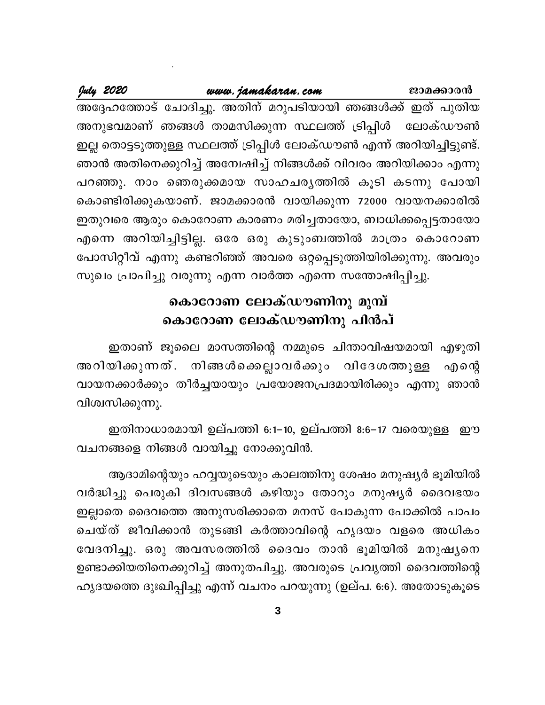#### www.jamakaran.com

July 2020

അദ്ദേഹത്തോട് ചോദിച്ചു. അതിന് മറുപടിയായി ഞങ്ങൾക്ക് ഇത് പുതിയ അനുഭവമാണ് ഞങ്ങൾ താമസിക്കുന്ന സ്ഥലത്ത് ട്രിപ്പിൾ ലോക്ഡൗൺ ഇല്ല തൊട്ടടുത്തുള്ള സ്ഥലത്ത് ട്രിപ്പിൾ ലോക്ഡൗൺ എന്ന് അറിയിച്ചിട്ടുണ്ട്. ഞാൻ അതിനെക്കുറിച്ച് അന്വേഷിച്ച് നിങ്ങൾക്ക് വിവരം അറിയിക്കാം എന്നു പറഞ്ഞു. നാം ഞെരുക്കമായ സാഹചരൃത്തിൽ കൂടി കടന്നു പോയി കൊണ്ടിരിക്കുകയാണ്. ജാമക്കാരൻ വായിക്കുന്ന 72000 വായനക്കാരിൽ ഇതുവരെ ആരും കൊറോണ കാരണം മരിച്ചതായോ, ബാധിക്കപ്പെട്ടതായോ എന്നെ അറിയിച്ചിട്ടില്ല. ഒരേ ഒരു കുടുംബത്തിൽ മാത്രം കൊറോണ പോസിറ്റീവ് എന്നു കണ്ടറിഞ്ഞ് അവരെ ഒറ്റപ്പെടുത്തിയിരിക്കുന്നു. അവരും സുഖം പ്രാപിച്ചു വരുന്നു എന്ന വാർത്ത എന്നെ സന്തോഷിപ്പിച്ചു.

# കൊറോണ ലോക്ഡൗണിനു മുമ്പ് കൊറോണ ലോക്ഡൗണിനു പിൻപ്

ഇതാണ് ജൂലൈ മാസത്തിന്റെ നമ്മുടെ ചിന്താവിഷയമായി എഴുതി അറിയിക്കുന്നത്. നിങ്ങൾക്കെല്ലാവർക്കും വിദേശത്തുള്ള എന്റെ വായനക്കാർക്കും തീർച്ചയായും പ്രയോജനപ്രദമായിരിക്കും എന്നു ഞാൻ വിശ്വസിക്കുന്നു.

ഇതിനാധാരമായി ഉല്പത്തി 6:1−10, ഉല്പത്തി 8:6−17 വരെയുള്ള ഈ വചനങ്ങളെ നിങ്ങൾ വായിച്ചു നോക്കുവിൻ.

ആദാമിന്റെയും ഹവ്വയുടെയും കാലത്തിനു ശേഷം മനുഷ്യർ ഭൂമിയിൽ വർദ്ധിച്ചു പെരുകി ദിവസങ്ങൾ കഴിയും തോറും മനുഷൃർ ദൈവഭയം ഇല്ലാതെ ദൈവത്തെ അനുസരിക്കാതെ മനസ് പോകുന്ന പോക്കിൽ പാപം ചെയ്ത് ജീവിക്കാൻ തുടങ്ങി കർത്താവിന്റെ ഹൃദയം വളരെ അധികം വേദനിച്ചു. ഒരു അവസരത്തിൽ ദൈവം താൻ ഭൂമിയിൽ മനുഷൃനെ ഉണ്ടാക്കിയതിനെക്കുറിച്ച് അനുതപിച്ചു. അവരുടെ പ്രവൃത്തി ദൈവത്തിന്റെ ഹൃദയത്തെ ദുഃഖിപ്പിച്ചു എന്ന് വചനം പറയുന്നു (ഉല്പ. 6:6). അതോടുകൂടെ

3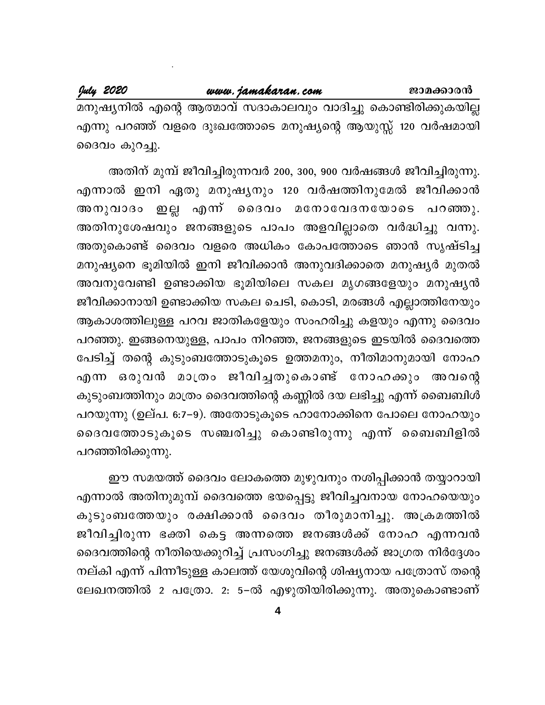മനുഷ്യനിൽ എന്റെ ആത്മാവ് സദാകാലവും വാദിച്ചു കൊണ്ടിരിക്കുകയില്ല എന്നു പറഞ്ഞ് വളരെ ദുഃഖത്തോടെ മനുഷ്യന്റെ ആയുസ്സ് 120 വർഷമായി ദൈവം കുറച്ചു.

അതിന് മുമ്പ് ജീവിച്ചിരുന്നവർ 200, 300, 900 വർഷങ്ങൾ ജീവിച്ചിരുന്നു. എന്നാൽ ഇനി ഏതു മനുഷ്യനും 120 വർഷത്തിനുമേൽ ജീവിക്കാൻ എന്ന് ദൈവം മനോവേദനയോടെ പറഞ്ഞു. <u>ഇല്ല</u> അനുവാദം അതിനുശേഷവും ജനങ്ങളുടെ പാപം അളവില്ലാതെ വർദ്ധിച്ചു വന്നു. അതുകൊണ്ട് ദൈവം വളരെ അധികം കോപത്തോടെ ഞാൻ സൃഷ്ടിച്ച മനുഷ്യനെ ഭൂമിയിൽ ഇനി ജീവിക്കാൻ അനുവദിക്കാതെ മനുഷ്യർ മുതൽ അവനുവേണ്ടി ഉണ്ടാക്കിയ ഭൂമിയിലെ സകല മൃഗങ്ങളേയും മനുഷ്യൻ ജീവിക്കാനായി ഉണ്ടാക്കിയ സകല ചെടി, കൊടി, മരങ്ങൾ എല്ലാത്തിനേയും ആകാശത്തിലുള്ള പറവ ജാതികളേയും സംഹരിച്ചു കളയും എന്നു ദൈവം പറഞ്ഞു. ഇങ്ങനെയുള്ള, പാപം നിറഞ്ഞ, ജനങ്ങളുടെ ഇടയിൽ ദൈവത്തെ പേടിച്ച് തന്റെ കുടുംബത്തോടുകൂടെ ഉത്തമനും, നീതിമാനുമായി നോഹ എന്ന ഒരുവൻ മാത്രം ജീവിച്ചതുകൊണ്ട് നോഹക്കും അവന്റെ കുടുംബത്തിനും മാത്രം ദൈവത്തിന്റെ കണ്ണിൽ ദയ ലഭിച്ചു എന്ന് ബൈബിൾ പറയുന്നു (ഉല്പ. 6:7–9). അതോടുകൂടെ ഹാനോക്കിനെ പോലെ നോഹയും ദൈവത്തോടുകൂടെ സഞ്ചരിച്ചു കൊണ്ടിരുന്നു എന്ന് ബൈബിളിൽ പറഞ്ഞിരിക്കുന്നു.

ഈ സമയത്ത് ദൈവം ലോകത്തെ മുഴുവനും നശിപ്പിക്കാൻ തയ്യാറായി എന്നാൽ അതിനുമുമ്പ് ദൈവത്തെ ഭയപ്പെട്ടു ജീവിച്ചവനായ നോഹയെയും കുടുംബത്തേയും രക്ഷിക്കാൻ ദൈവം തീരുമാനിച്ചു. അക്രമത്തിൽ ജീവിച്ചിരുന്ന ഭക്തി കെട്ട അന്നത്തെ ജനങ്ങൾക്ക് നോഹ എന്നവൻ ദൈവത്തിന്റെ നീതിയെക്കുറിച്ച് പ്രസംഗിച്ചു ജനങ്ങൾക്ക് ജാഗ്രത നിർദ്ദേശം നല്കി എന്ന് പിന്നീടുള്ള കാലത്ത് യേശുവിന്റെ ശിഷ്യനായ പത്രോസ് തന്റെ ലേഖനത്തിൽ 2 പത്രോ. 2: 5–ൽ എഴുതിയിരിക്കുന്നു. അതുകൊണ്ടാണ്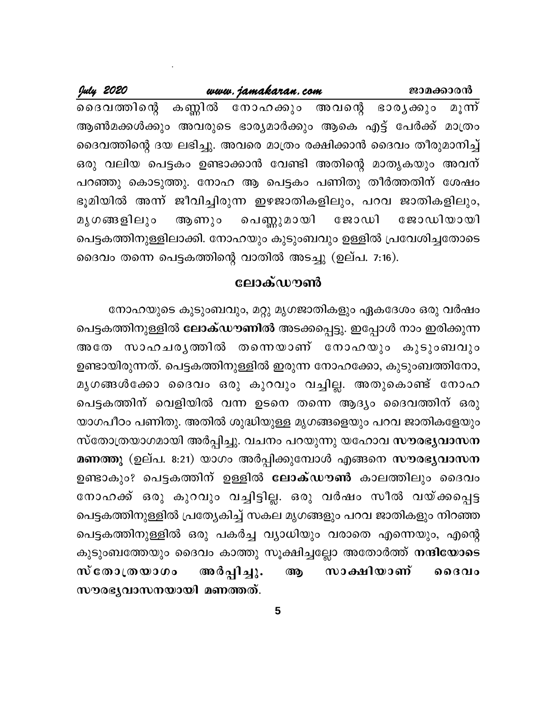#### July 2020 www.jamakaran.com ജാമക്കാരൻ കണ്ണിൽ നോഹക്കും അവന്റെ ദൈവത്തിന്റെ ഭാരൃക്കും മൂന്ന് ആൺമക്കൾക്കും അവരുടെ ഭാര്യമാർക്കും ആകെ എട്ട് പേർക്ക് മാത്രം ദൈവത്തിന്റെ ദയ ലഭിച്ചു. അവരെ മാത്രം രക്ഷിക്കാൻ ദൈവം തീരുമാനിച്ച് ഒരു വലിയ പെട്ടകം ഉണ്ടാക്കാൻ വേണ്ടി അതിന്റെ മാതൃകയും അവന് പറഞ്ഞു കൊടുത്തു. നോഹ ആ പെട്ടകം പണിതു തീർത്തതിന് ശേഷം ഭൂമിയിൽ അന്ന് ജീവിച്ചിരുന്ന ഇഴജാതികളിലും, പറവ ജാതികളിലും, ആണും വെണ്ണുമായി ജോഡി മൃഗങ്ങളിലും ജോഡിയായി പെട്ടകത്തിനുള്ളിലാക്കി. നോഹയും കുടുംബവും ഉള്ളിൽ പ്രവേശിച്ചതോടെ ദൈവം തന്നെ പെട്ടകത്തിന്റെ വാതിൽ അടച്ചു (ഉല്പ. 7:16).

## ലോക്ഡൗൺ

നോഹയുടെ കുടുംബവും, മറ്റു മൃഗജാതികളും ഏകദേശം ഒരു വർഷം പെട്ടകത്തിനുള്ളിൽ **ലോക്ഡൗണിൽ** അടക്കപ്പെട്ടു. ഇപ്പോൾ നാം ഇരിക്കുന്ന അതേ സാഹചരൃത്തിൽ തന്നെയാണ് നോഹയും കുടുംബവും ഉണ്ടായിരുന്നത്. പെട്ടകത്തിനുള്ളിൽ ഇരുന്ന നോഹക്കോ, കുടുംബത്തിനോ, മൃഗങ്ങൾക്കോ ദൈവം ഒരു കുറവും വച്ചില്ല. അതുകൊണ്ട് നോഹ പെട്ടകത്തിന് വെളിയിൽ വന്ന ഉടനെ തന്നെ ആദ്യം ദൈവത്തിന് ഒരു യാഗപീഠം പണിതു. അതിൽ ശുദ്ധിയുള്ള മൃഗങ്ങളെയും പറവ ജാതികളേയും സ്തോത്രയാഗമായി അർപ്പിച്ചു. വചനം പറയുന്നു യഹോവ സൗരഭൃവാസന മണത്തു (ഉല്പ. 8:21) യാഗം അർപ്പിക്കുമ്പോൾ എങ്ങനെ സൗരഭൃവാസന ഉണ്ടാകും? പെട്ടകത്തിന് ഉള്ളിൽ ലോക്ഡൗൺ കാലത്തിലും ദൈവം നോഹക്ക് ഒരു കുറവും വച്ചിട്ടില്ല. ഒരു വർഷം സീൽ വയ്ക്കപ്പെട്ട പെട്ടകത്തിനുള്ളിൽ പ്രത്യേകിച്ച് സകല മൃഗങ്ങളും പറവ ജാതികളും നിറഞ്ഞ പെട്ടകത്തിനുള്ളിൽ ഒരു പകർച്ച വ്യാധിയും വരാതെ എന്നെയും, എന്റെ കുടുംബത്തേയും ദൈവം കാത്തു സൂക്ഷിച്ചല്ലോ അതോർത്<mark>ത് നന്ദിയോടെ</mark> സാക്ഷിയാണ് സ് തോത്രയാഗം അർപ്പിച്ചു. ആ റൈവം സൗരഭൃവാസനയായി മണത്തത്.

5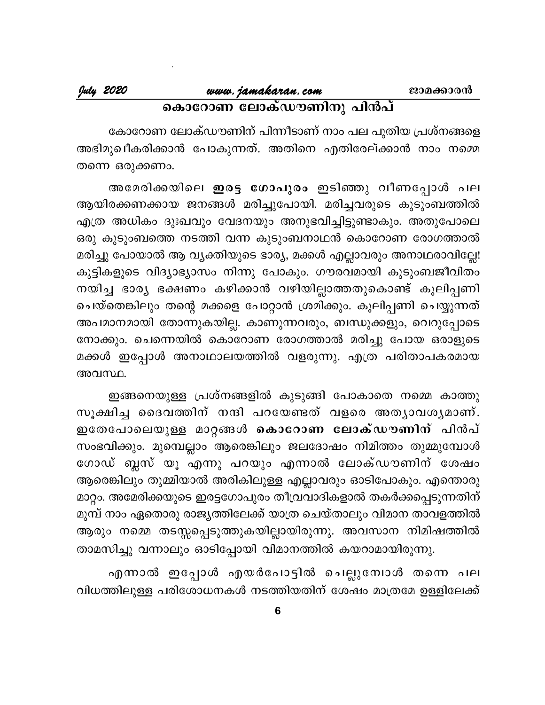# കൊറോണ ലോക്ഡൗണിനു പിൻപ്

കോറോണ ലോക്ഡൗണിന് പിന്നീടാണ് നാം പല പുതിയ പ്രശ്നങ്ങളെ അഭിമുഖീകരിക്കാൻ പോകുന്നത്. അതിനെ എതിരേല്ക്കാൻ നാം നമ്മെ തന്നെ ഒരുക്കണം.

അമേരിക്കയിലെ **ഇരട്ട ഗോപുരം** ഇടിഞ്ഞു വീണപ്പോൾ പല ആയിരക്കണക്കായ ജനങ്ങൾ മരിച്ചുപോയി. മരിച്ചവരുടെ കുടുംബത്തിൽ എത്ര അധികം ദുഃഖവും വേദനയും അനുഭവിച്ചിട്ടുണ്ടാകും. അതുപോലെ ഒരു കുടുംബത്തെ നടത്തി വന്ന കുടുംബനാഥൻ കൊറോണ രോഗത്താൽ മരിച്ചു പോയാൽ ആ വ്യക്തിയുടെ ഭാര്യ, മക്കൾ എല്ലാവരും അനാഥരാവില്ലേ! കുട്ടികളുടെ വിദ്യാഭ്യാസം നിന്നു പോകും. ഗൗരവമായി കുടുംബജീവിതം നയിച്ച ഭാര്യ ഭക്ഷണം കഴിക്കാൻ വഴിയില്ലാത്തതുകൊണ്ട് കൂലിപ്പണി ചെയ്തെങ്കിലും തന്റെ മക്കളെ പോറ്റാൻ ശ്രമിക്കും. കൂലിപ്പണി ചെയ്യുന്നത് അപമാനമായി തോന്നുകയില്ല. കാണുന്നവരും, ബന്ധുക്കളും, വെറുപ്പോടെ നോക്കും. ചെന്നെയിൽ കൊറോണ രോഗത്താൽ മരിച്ചു പോയ ഒരാളുടെ മക്കൾ ഇപ്പോൾ അനാഥാലയത്തിൽ വളരുന്നു. എത്ര പരിതാപകരമായ അവസ്ഥ.

ഇങ്ങനെയുള്ള പ്രശ്നങ്ങളിൽ കുടുങ്ങി പോകാതെ നമ്മെ കാത്തു സൂക്ഷിച്ച ദൈവത്തിന് നന്ദി പറയേണ്ടത് വളരെ അത്യാവശ്യമാണ്. . ഇതേപോലെയുള്ള മാറ്റങ്ങൾ **കൊറോണ ലോക്ഡൗണിന്** പിൻപ് സംഭവിക്കും. മുമ്പെല്ലാം ആരെങ്കിലും ജലദോഷം നിമിത്തം തുമ്മുമ്പോൾ ഗോഡ് ബ്ലസ് യൂ എന്നു പറയും എന്നാൽ ലോക്ഡൗണിന് ശേഷം ആരെങ്കിലും തുമ്മിയാൽ അരികിലുള്ള എല്ലാവരും ഓടിപോകും. എന്തൊരു മാറ്റം. അമേരിക്കയുടെ ഇരട്ടഗോപുരം തീവ്രവാദികളാൽ തകർക്കപ്പെടുന്നതിന് മുമ്പ് നാം ഏതൊരു രാജൃത്തിലേക്ക് യാത്ര ചെയ്താലും വിമാന താവളത്തിൽ ആരും നമ്മെ തടസ്സപ്പെടുത്തുകയില്ലായിരുന്നു. അവസാന നിമിഷത്തിൽ താമസിച്ചു വന്നാലും ഓടിപ്പോയി വിമാനത്തിൽ കയറാമായിരുന്നു.

എന്നാൽ ഇപ്പോൾ എയർപോട്ടിൽ ചെല്ലുമ്പോൾ തന്നെ പല വിധത്തിലുള്ള പരിശോധനകൾ നടത്തിയതിന് ശേഷം മാത്രമേ ഉള്ളിലേക്ക്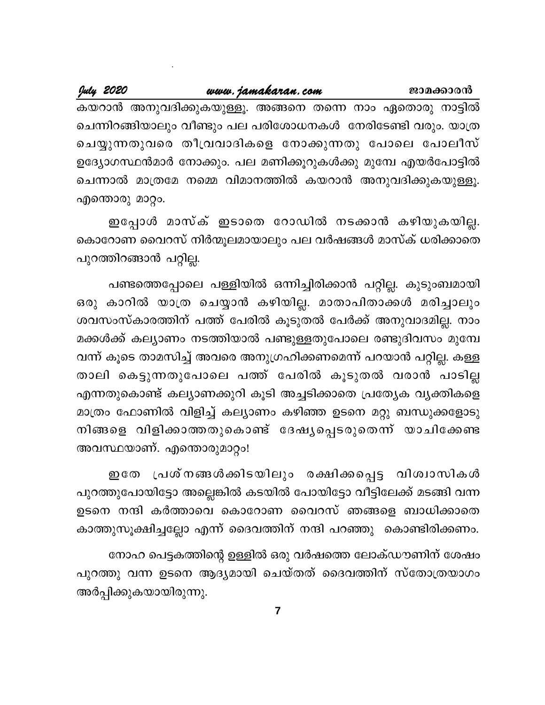#### July 2020 www.jamakaran.com ജാമക്കാരൻ കയറാൻ അനുവദിക്കുകയുള്ളൂ. അങ്ങനെ തന്നെ നാം ഏതൊരു നാട്ടിൽ ചെന്നിറങ്ങിയാലും വീണ്ടും പല പരിശോധനകൾ നേരിടേണ്ടി വരും. യാത്ര ചെയ്യുന്നതുവരെ തീവ്രവാദികളെ നോക്കുന്നതു പോലെ പോലീസ് ഉദ്യോഗസ്ഥൻമാർ നോക്കും. പല മണിക്കൂറുകൾക്കു മുമ്പേ എയർപോട്ടിൽ ചെന്നാൽ മാത്രമേ നമ്മെ വിമാനത്തിൽ കയറാൻ അനുവദിക്കുകയുള്ളൂ.

ഇപ്പോൾ മാസ്ക് ഇടാതെ റോഡിൽ നടക്കാൻ കഴിയുകയില്ല. കൊറോണ വൈറസ് നിർന്മൂലമായാലും പല വർഷങ്ങൾ മാസ്ക് ധരിക്കാതെ പുറത്തിറങ്ങാൻ പറ്റില്ല.

എന്തൊരു മാറ്റം.

പണ്ടത്തെപ്പോലെ പള്ളിയിൽ ഒന്നിച്ചിരിക്കാൻ പറ്റില്ല. കുടുംബമായി ഒരു കാറിൽ യാത്ര ചെയ്യാൻ കഴിയില്ല. മാതാപിതാക്കൾ മരിച്ചാലും ശവസംസ്കാരത്തിന് പത്ത് പേരിൽ കൂടുതൽ പേർക്ക് അനുവാദമില്ല. നാം മക്കൾക്ക് കല്യാണം നടത്തിയാൽ പണ്ടുള്ളതുപോലെ രണ്ടുദിവസം മുമ്പേ വന്ന് കൂടെ താമസിച്ച് അവരെ അനുഗ്രഹിക്കണമെന്ന് പറയാൻ പറ്റില്ല. കള്ള താലി കെട്ടുന്നതുപോലെ പത്ത് പേരിൽ കൂടുതൽ വരാൻ പാടില്ല എന്നതുകൊണ്ട് കല്യാണക്കുറി കൂടി അച്ചടിക്കാതെ പ്രത്യേക വ്യക്തികളെ മാത്രം ഫോണിൽ വിളിച്ച് കല്യാണം കഴിഞ്ഞ ഉടനെ മറ്റു ബന്ധുക്കളോടു നിങ്ങളെ വിളിക്കാത്തതുകൊണ്ട് ദേഷ്യപ്പെടരുതെന്ന് യാചിക്കേണ്ട അവസ്ഥയാണ്. എന്തൊരുമാറ്റം!

്പ്രശ്നങ്ങൾക്കിടയിലും രക്ഷിക്കപ്പെട്ട വിശ്വാസികൾ **ഇ** തേ പുറത്തുപോയിട്ടോ അല്ലെങ്കിൽ കടയിൽ പോയിട്ടോ വീട്ടിലേക്ക് മടങ്ങി വന്ന ഉടനെ നന്ദി കർത്താവെ കൊറോണ വൈറസ് ഞങ്ങളെ ബാധിക്കാതെ കാത്തുസൂക്ഷിച്ചല്ലോ എന്ന് ദൈവത്തിന് നന്ദി പറഞ്ഞു കൊണ്ടിരിക്കണം.

നോഹ പെട്ടകത്തിന്റെ ഉള്ളിൽ ഒരു വർഷത്തെ ലോക്ഡൗണിന് ശേഷം പുറത്തു വന്ന ഉടനെ ആദ്യമായി ചെയ്തത് ദൈവത്തിന് സ്തോത്രയാഗം അർപ്പിക്കുകയായിരുന്നു.

 $\overline{7}$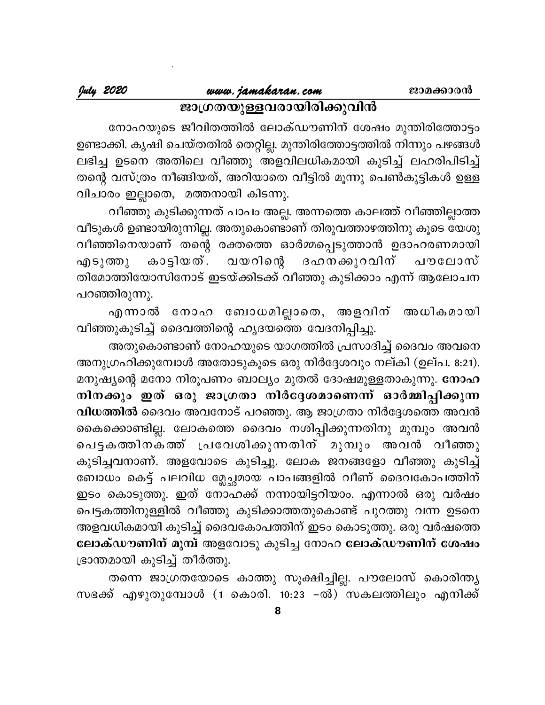# ജാഗ്രതയുള്ളവരായിരിക്കുവിൻ

നോഹയുടെ ജീവിതത്തിൽ ലോക്ഡൗണിന് ശേഷം മുന്തിരിത്തോട്ടം ഉണ്ടാക്കി. കൃഷി ചെയ്തതിൽ തെറ്റില്ല. മുന്തിരിത്തോട്ടത്തിൽ നിന്നും പഴങ്ങൾ ലഭിച്ച ഉടനെ അതിലെ വീഞ്ഞു അളവിലധികമായി കുടിച്ച് ലഹരിപിടിച്ച് തന്റെ വസ്ത്രം നീങ്ങിയത്, അറിയാതെ വീട്ടിൽ മൂന്നു പെൺകുട്ടികൾ ഉള്ള വിചാരം ഇല്ലാതെ, മത്തനായി കിടന്നു.

വീഞ്ഞു കുടിക്കുന്നത് പാപം അല്ല. അന്നത്തെ കാലത്ത് വീഞ്ഞില്ലാത്ത വീടുകൾ ഉണ്ടായിരുന്നില്ല. അതുകൊണ്ടാണ് തിരുവത്താഴത്തിനു കൂടെ യേശു വീഞ്ഞിനെയാണ് തന്റെ രക്തത്തെ ഓർമ്മപ്പെടുത്താൻ ഉദാഹരണമായി ദഹനക്കുറവിന് പൗലോസ് കാട്ടിയത്. വയറിന്റെ എടുത്തു തിമോത്തിയോസിനോട് ഇടയ്ക്കിടക്ക് വീഞ്ഞു കുടിക്കാം എന്ന് ആലോചന പറഞ്ഞിരുന്നു.

എന്നാൽ നോഹ ബോധമില്ലാതെ, അളവിന് അധികമായി വീഞ്ഞുകുടിച്ച് ദൈവത്തിന്റെ ഹൃദയത്തെ വേദനിപ്പിച്ചു.

അതുകൊണ്ടാണ് നോഹയുടെ യാഗത്തിൽ പ്രസാദിച്ച് ദൈവം അവനെ അനുഗ്രഹിക്കുമ്പോൾ അതോടുകൂടെ ഒരു നിർദ്ദേശവും നല്കി (ഉല്പ. 8:21). മനുഷ്യന്റെ മനോ നിരൂപണം ബാല്യം മുതൽ ദോഷമുള്ളതാകുന്നു. നോഹ നിനക്കും ഇത് ഒരു ജാഗ്രതാ നിർദ്ദേശമാണെന്ന് ഓർമ്മിപ്പിക്കുന്ന വിധത്തിൽ ദൈവം അവനോട് പറഞ്ഞു. ആ ജാഗ്രതാ നിർദ്ദേശത്തെ അവൻ കൈക്കൊണ്ടില്ല. ലോകത്തെ ദൈവം നശിപ്പിക്കുന്നതിനു മുമ്പും അവൻ പെട്ടകത്തിനകത്ത് പ്രവേശിക്കുന്നതിന് മുമ്പും അവൻ വീഞ്ഞു കുടിച്ചവനാണ്. അളവോടെ കുടിച്ചു. ലോക ജനങ്ങളോ വീഞ്ഞു കുടിച്ച് ബോധം കെട്ട് പലവിധ മ്ലേച്ഛമായ പാപങ്ങളിൽ വീണ് ദൈവകോപത്തിന് ഇടം കൊടുത്തു. ഇത് നോഹക്ക് നന്നായിട്ടറിയാം. എന്നാൽ ഒരു വർഷം പെട്ടകത്തിനുള്ളിൽ വീഞ്ഞു കുടിക്കാത്തതുകൊണ്ട് പുറത്തു വന്ന ഉടനെ അളവധികമായി കുടിച്ച് ദൈവകോപത്തിന് ഇടം കൊടുത്തു. ഒരു വർഷത്തെ ലോക്ഡൗണിന് മുമ്പ് അളവോടു കുടിച്ച നോഹ ലോക്ഡൗണിന് ശേഷം ഭ്രാന്തമായി കുടിച്ച് തീർത്തു.

തന്നെ ജാഗ്രതയോടെ കാത്തു സൂക്ഷിച്ചില്ല. പൗലോസ് കൊരിന്ത്യ സഭക്ക് എഴുതുമ്പോൾ (1 കൊരി. 10:23 –ൽ) സകലത്തിലും എനിക്ക്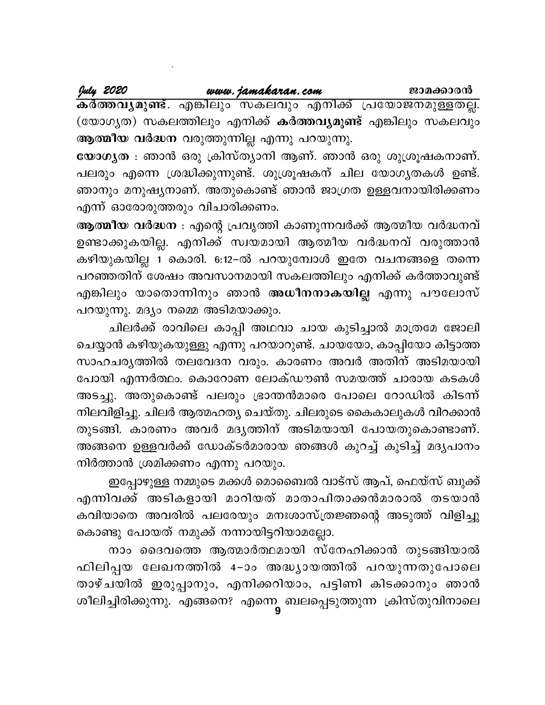July 2020

www.jamakaran.com

<del>ക</del>ർത്തവൃമുണ്ട്. എങ്കിലും സകലവും എനിക്ക് പ്രയോജനമുള്ളതല്ല. (യോഗൃത) സകലത്തിലും എനിക്ക് **കർത്തവൃമുണ്ട്** എങ്കിലും സകലവും ആത്മീയ വർദ്ധന വരുത്തുന്നില്ല എന്നു പറയുന്നു.

യോഗ്യത : ഞാൻ ഒരു ക്രിസ്ത്യാനി ആണ്. ഞാൻ ഒരു ശുശ്രൂഷകനാണ്. പലരും എന്നെ ശ്രദ്ധിക്കുന്നുണ്ട്. ശുശ്രൂഷകന് ചില യോഗൃതകൾ ഉണ്ട്. ഞാനും മനുഷ്യനാണ്. അതുകൊണ്ട് ഞാൻ ജാഗ്രത ഉള്ളവനായിരിക്കണം എന്ന് ഓരോരുത്തരും വിചാരിക്കണം.

ആത്മീയ വർദ്ധന : എന്റെ പ്രവൃത്തി കാണുന്നവർക്ക് ആത്മീയ വർദ്ധനവ് ഉണ്ടാക്കുകയില്ല. എനിക്ക് സ്വയമായി ആത്മീയ വർദ്ധനവ് വരുത്താൻ കഴിയുകയില്ല 1 കൊരി. 6:12–ൽ പറയുമ്പോൾ ഇതേ വചനങ്ങളെ തന്നെ പറഞ്ഞതിന് ശേഷം അവസാനമായി സകലത്തിലും എനിക്ക് കർത്താവുണ്ട് എങ്കിലും യാതൊന്നിനും ഞാൻ <mark>അധീനനാകയില്ല</mark> എന്നു പൗലോസ് പറയുന്നു. മദ്യം നമ്മെ അടിമയാക്കും.

ചിലർക്ക് രാവിലെ കാപ്പി അഥവാ ചായ കുടിച്ചാൽ മാത്രമേ ജോലി ചെയ്യാൻ കഴിയുകയുള്ളു എന്നു പറയാറുണ്ട്. ചായയോ, കാപ്പിയോ കിട്ടാത്ത സാഹചര്യത്തിൽ തലവേദന വരും. കാരണം അവർ അതിന് അടിമയായി പോയി എന്നർത്ഥം. കൊറോണ ലോക്ഡൗൺ സമയത്ത് ചാരായ കടകൾ അടച്ചു. അതുകൊണ്ട് പലരും ഭ്രാന്തൻമാരെ പോലെ റോഡിൽ കിടന്ന് നിലവിളിച്ചു. ചിലർ ആത്മഹത്യ ചെയ്തു. ചിലരുടെ കൈകാലുകൾ വിറക്കാൻ തുടങ്ങി. കാരണം അവർ മദൃത്തിന് അടിമയായി പോയതുകൊണ്ടാണ്. അങ്ങനെ ഉള്ളവർക്ക് ഡോക്ടർമാരായ ഞങ്ങൾ കുറച്ച് കുടിച്ച് മദൃപാനം നിർത്താൻ ശ്രമിക്കണം എന്നു പറയും.

ഇപ്പോഴുള്ള നമ്മുടെ മക്കൾ മൊബൈൽ വാട്സ് ആപ്, ഫെയ്സ് ബുക്ക് എന്നിവക്ക് അടികളായി മാറിയത് മാതാപിതാക്കൻമാരാൽ തടയാൻ കവിയാതെ അവരിൽ പലരേയും മനഃശാസ്ത്രജ്ഞന്റെ അടുത്ത് വിളിച്ചു കൊണ്ടു പോയത് നമുക്ക് നന്നായിട്ടറിയാമല്ലോ.

നാം ദൈവത്തെ ആത്മാർത്ഥമായി സ്നേഹിക്കാൻ തുടങ്ങിയാൽ ഫിലിപ്പയ ലേഖനത്തിൽ 4–ാം അദ്ധ്യായത്തിൽ പറയുന്നതുപോലെ താഴ്ചയിൽ ഇരുപ്പാനും, എനിക്കറിയാം, പട്ടിണി കിടക്കാനും ഞാൻ ശീലിച്ചിരിക്കുന്നു. എങ്ങനെ? എന്നെ ബലപ്പെടുത്തുന്ന ക്രിസ്തുവിനാലെ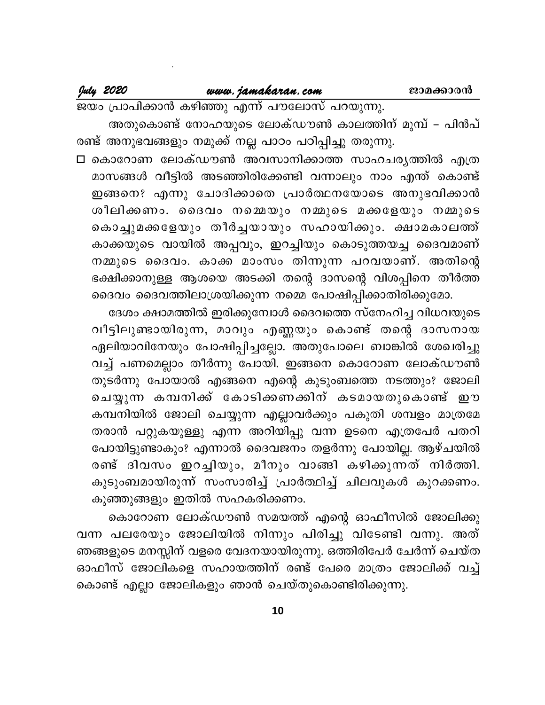July 2020

ജയം പ്രാപിക്കാൻ കഴിഞ്ഞു എന്ന് പൗലോസ് പറയുന്നു. അതുകൊണ്ട് നോഹയുടെ ലോക്ഡൗൺ കാലത്തിന് മുമ്പ് – പിൻപ് രണ്ട് അനുഭവങ്ങളും നമുക്ക് നല്ല പാഠം പഠിപ്പിച്ചു തരുന്നു.

□ കൊറോണ ലോക്ഡൗൺ അവസാനിക്കാത്ത സാഹചര്യത്തിൽ എത്ര മാസങ്ങൾ വീട്ടിൽ അടഞ്ഞിരിക്കേണ്ടി വന്നാലും നാം എന്ത് കൊണ്ട് ഇങ്ങനെ? എന്നു ചോദിക്കാതെ പ്രാർത്ഥനയോടെ അനുഭവിക്കാൻ ശീലിക്കണം. ദൈവം നമ്മെയും നമ്മുടെ മക്കളേയും നമ്മുടെ കൊച്ചുമക്കളേയും തീർച്ചയായും സഹായിക്കും. ക്ഷാമകാലത്ത് കാക്കയുടെ വായിൽ അപ്പവും, ഇറച്ചിയും കൊടുത്തയച്ച ദൈവമാണ് നമ്മുടെ ദൈവം. കാക്ക മാംസം തിന്നുന്ന പറവയാണ്. അതിന്റെ ഭക്ഷിക്കാനുള്ള ആശയെ അടക്കി തന്റെ ദാസന്റെ വിശപ്പിനെ തീർത്ത ദൈവം ദൈവത്തിലാശ്രയിക്കുന്ന നമ്മെ പോഷിപ്പിക്കാതിരിക്കുമോ.

ദേശം ക്ഷാമത്തിൽ ഇരിക്കുമ്പോൾ ദൈവത്തെ സ്നേഹിച്ച വിധവയുടെ വീട്ടിലുണ്ടായിരുന്ന, മാവും എണ്ണയും കൊണ്ട് തന്റെ ദാസനായ ഏലിയാവിനേയും പോഷിപ്പിച്ചല്ലോ. അതുപോലെ ബാങ്കിൽ ശേഖരിച്ചു വച്ച് പണമെല്ലാം തീർന്നു പോയി. ഇങ്ങനെ കൊറോണ ലോക്ഡൗൺ തുടർന്നു പോയാൽ എങ്ങനെ എന്റെ കുടുംബത്തെ നടത്തും? ജോലി ചെയ്യുന്ന കമ്പനിക്ക് കോടിക്കണക്കിന് കടമായതുകൊണ്ട് ഈ കമ്പനിയിൽ ജോലി ചെയ്യുന്ന എല്ലാവർക്കും പകുതി ശമ്പളം മാത്രമേ തരാൻ പറ്റുകയുള്ളു എന്ന അറിയിപ്പു വന്ന ഉടനെ എത്രപേർ പതറി പോയിട്ടുണ്ടാകും? എന്നാൽ ദൈവജനം തളർന്നു പോയില്ല. ആഴ്ചയിൽ രണ്ട് ദിവസം ഇറച്ചിയും, മീനും വാങ്ങി കഴിക്കുന്നത് നിർത്തി. കുടുംബമായിരുന്ന് സംസാരിച്ച് പ്രാർത്ഥിച്ച് ചിലവുകൾ കുറക്കണം. കുഞ്ഞുങ്ങളും ഇതിൽ സഹകരിക്കണം.

കൊറോണ ലോക്ഡൗൺ സമയത്ത് എന്റെ ഓഫീസിൽ ജോലിക്കു വന്ന പലരേയും ജോലിയിൽ നിന്നും പിരിച്ചു വിടേണ്ടി വന്നു. അത് ഞങ്ങളുടെ മനസ്സിന് വളരെ വേദനയായിരുന്നു. ഒത്തിരിപേർ ചേർന്ന് ചെയ്ത ഓഫീസ് ജോലികളെ സഹായത്തിന് രണ്ട് പേരെ മാത്രം ജോലിക്ക് വച്ച് കൊണ്ട് എല്ലാ ജോലികളും ഞാൻ ചെയ്തുകൊണ്ടിരിക്കുന്നു.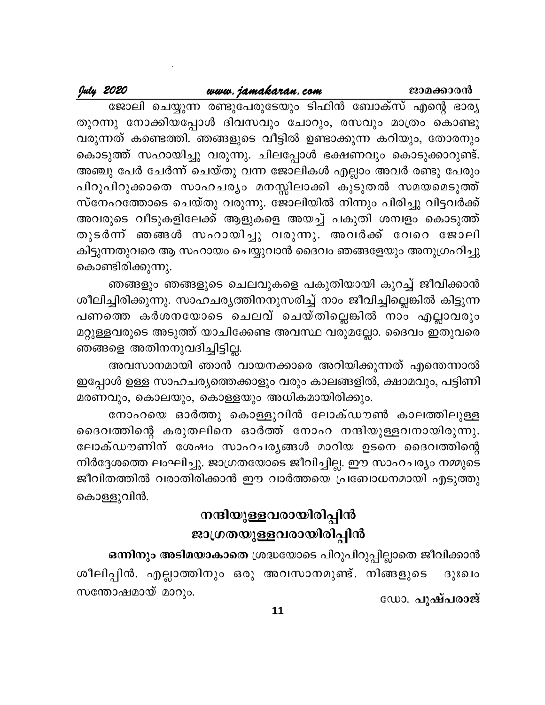ജാമക്കാരൻ

July 2020

ജോലി ചെയ്യുന്ന രണ്ടുപേരുടേയും ടിഫിൻ ബോക്സ് എന്റെ ഭാര്യ തുറന്നു നോക്കിയപ്പോൾ ദിവസവും ചോറും, രസവും മാത്രം കൊണ്ടു വരുന്നത് കണ്ടെത്തി. ഞങ്ങളുടെ വീട്ടിൽ ഉണ്ടാക്കുന്ന കറിയും, തോരനും കൊടുത്ത് സഹായിച്ചു വരുന്നു. ചിലപ്പോൾ ഭക്ഷണവും കൊടുക്കാറുണ്ട്. അഞ്ചു പേർ ചേർന്ന് ചെയ്തു വന്ന ജോലികൾ എല്ലാം അവർ രണ്ടു പേരും പിറുപിറുക്കാതെ സാഹചര്യം മനസ്സിലാക്കി കൂടുതൽ സമയമെടുത്ത് സ്നേഹത്തോടെ ചെയ്തു വരുന്നു. ജോലിയിൽ നിന്നും പിരിച്ചു വിട്ടവർക്ക് അവരുടെ വീടുകളിലേക്ക് ആളുകളെ അയച്ച് പകുതി ശമ്പളം കൊടുത്ത് തുടർന്ന് ഞങ്ങൾ സഹായിച്ചു വരുന്നു. അവർക്ക് വേറെ ജോലി കിട്ടുന്നതുവരെ ആ സഹായം ചെയ്യുവാൻ ദൈവം ഞങ്ങളേയും അനുഗ്രഹിച്ചു കൊണ്ടിരിക്കുന്നു.

ഞങ്ങളും ഞങ്ങളുടെ ചെലവുകളെ പകുതിയായി കുറച്ച് ജീവിക്കാൻ ശീലിച്ചിരിക്കുന്നു. സാഹചര്യത്തിനനുസരിച്ച് നാം ജീവിച്ചില്ലെങ്കിൽ കിട്ടുന്ന പണത്തെ കർശനയോടെ ചെലവ് ചെയ്തില്ലെങ്കിൽ നാം എല്ലാവരും മറ്റുള്ളവരുടെ അടുത്ത് യാചിക്കേണ്ട അവസ്ഥ വരുമല്ലോ. ദൈവം ഇതുവരെ ഞങ്ങളെ അതിനനുവദിച്ചിട്ടില്ല.

അവസാനമായി ഞാൻ വായനക്കാരെ അറിയിക്കുന്നത് എന്തെന്നാൽ ഇപ്പോൾ ഉള്ള സാഹചര്യത്തെക്കാളും വരും കാലങ്ങളിൽ, ക്ഷാമവും, പട്ടിണി മരണവും, കൊലയും, കൊള്ളയും അധികമായിരിക്കും.

നോഹയെ ഓർത്തു കൊള്ളുവിൻ ലോക്ഡൗൺ കാലത്തിലുള്ള ദൈവത്തിന്റെ കരുതലിനെ ഓർത്ത് നോഹ നന്ദിയുള്ളവനായിരുന്നു. ലോക്ഡൗണിന് ശേഷം സാഹചര്യങ്ങൾ മാറിയ ഉടനെ ദൈവത്തിന്റെ നിർദ്ദേശത്തെ ലംഘിച്ചു. ജാഗ്രതയോടെ ജീവിച്ചില്ല. ഈ സാഹചര്യം നമ്മുടെ ജീവിതത്തിൽ വരാതിരിക്കാൻ ഈ വാർത്തയെ പ്രബോധനമായി എടുത്തു കൊള്ളുവിൻ.

# നന്ദിയുള്ളവരായിരിപ്പിൻ ജാഗ്രതയുള്ളവരായിരിപ്പിൻ

ഒന്നിനും അടിമയാകാതെ ശ്രദ്ധയോടെ പിറുപിറുപ്പില്ലാതെ ജീവിക്കാൻ ശീലിപ്പിൻ. എല്ലാത്തിനും ഒരു അവസാനമുണ്ട്. നിങ്ങളുടെ ദുഃഖം സന്തോഷമായ് മാറും. ഡോ. പുഷ്പരാജ്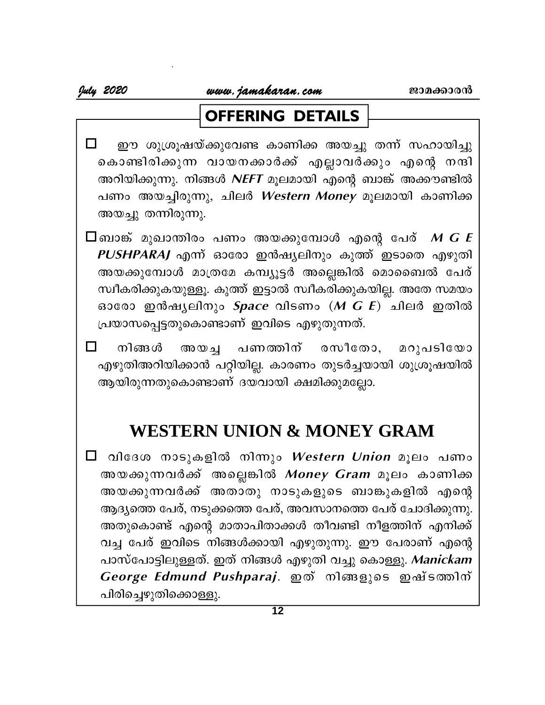# **OFFERING DETAILS**

- $\Box$ ഈ ശുശ്രൂഷയ്ക്കുവേണ്ട കാണിക്ക അയച്ചു തന്ന് സഹായിച്ചു കൊണ്ടിരിക്കുന്ന വായനക്കാർക്ക് എല്ലാവർക്കും എന്റെ നന്ദി അറിയിക്കുന്നു. നിങ്ങൾ NEFT മൂലമായി എന്റെ ബാങ്ക് അക്കൗണ്ടിൽ പണം അയച്ചിരുന്നു, ചിലർ Western Money മൂലമായി കാണിക്ക അയച്ചു തന്നിരുന്നു.
- $\square$ ബാങ്ക് മുഖാന്തിരം പണം അയക്കുമ്പോൾ എന്റെ പേര്  $\boldsymbol{M} \boldsymbol{G} \boldsymbol{E}$ PUSHPARAJ എന്ന് ഓരോ ഇൻഷ്യലിനും കുത്ത് ഇടാതെ എഴുതി അയക്കുമ്പോൾ മാത്രമേ കമ്പ്യൂട്ടർ അല്ലെങ്കിൽ മൊബൈൽ പേര് സ്വീകരിക്കുകയുള്ളൂ. കുത്ത് ഇട്ടാൽ സ്വീകരിക്കുകയില്ല. അതേ സമയം ഓരോ ഇൻഷ്യലിനും  $Space$  വിടണം  $(M \ G \ E)$  ചിലർ ഇതിൽ പ്രയാസപ്പെട്ടതുകൊണ്ടാണ് ഇവിടെ എഴുതുന്നത്.
- $\Box$ നിങ്ങൾ പണത്തിന് രസീതോ, മറുപടിയോ അയച്ച എഴുതിഅറിയിക്കാൻ പറ്റിയില്ല. കാരണം തുടർച്ചയായി ശുശ്രൂഷയിൽ ആയിരുന്നതുകൊണ്ടാണ് ദയവായി ക്ഷമിക്കുമല്ലോ.

# **WESTERN UNION & MONEY GRAM**

□ വിദേശ നാടുകളിൽ നിന്നും *Western Union* മൂലം പണം അയക്കുന്നവർക്ക് അല്ലെങ്കിൽ *Money Gram* മൂലം കാണിക്ക അയക്കുന്നവർക്ക് അതാതു നാടുകളുടെ ബാങ്കുകളിൽ എന്റെ ആദ്യത്തെ പേര്, നടുക്കത്തെ പേര്, അവസാനത്തെ പേര് ചോദിക്കുന്നു. അതുകൊണ്ട് എന്റെ മാതാപിതാക്കൾ തീവണ്ടി നീളത്തിന് എനിക്ക് വച്ച പേര് ഇവിടെ നിങ്ങൾക്കായി എഴുതുന്നു. ഈ പേരാണ് എന്റെ പാസ്പോട്ടിലുള്ളത്. ഇത് നിങ്ങൾ എഴുതി വച്ചു കൊള്ളു. Manickam George Edmund Pushparaj. ഇത് നിങ്ങളുടെ ഇഷ്ടത്തിന് പിരിച്ചെഴുതിക്കൊള്ളു.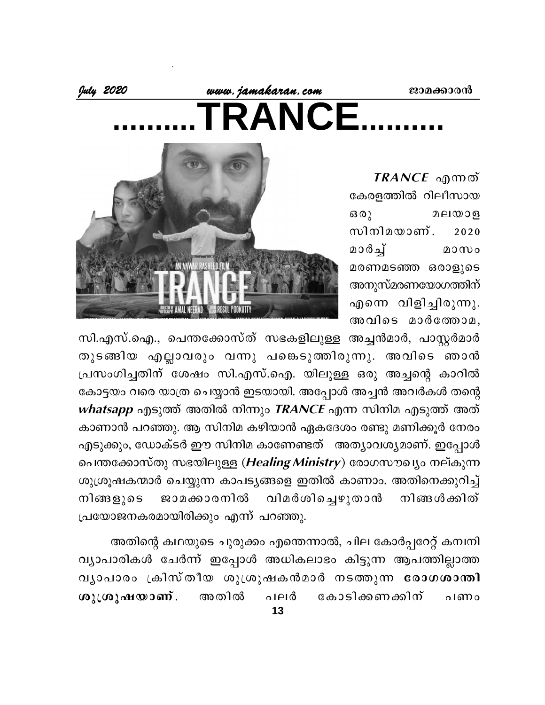Wu 2020, www.jamakaran.com ANCF

> **എന്നത്** കേരളത്തിൽ റിലീസായ  $60<sub>2</sub>$ മലയാള സിനിമയാണ്. 2020 മാർച് മാസം മരണമടഞ്ഞ ഒരാളുടെ അനുസ്മരണയോഗത്തിന് എന്നെ വിളിച്ചിരുന്നു. അവിടെ മാർത്തോമ,



സി.എസ്.ഐ., പെന്തക്കോസ്ത് സഭകളിലുള്ള അച്ചൻമാർ, പാസ്റ്റർമാർ തുടങ്ങിയ എല്ലാവരും വന്നു പങ്കെടുത്തിരുന്നു. അവിടെ ഞാൻ പ്രസംഗിച്ചതിന് ശേഷം സി.എസ്.ഐ. യിലുള്ള ഒരു അച്ചന്റെ കാറിൽ കോട്ടയം വരെ യാത്ര ചെയ്യാൻ ഇടയായി. അപ്പോൾ അച്ചൻ അവർകൾ തന്റെ whatsapp എടുത്ത് അതിൽ നിന്നും  $\mathit{TRANCE}$  എന്ന സിനിമ എടുത്ത് അത് കാണാൻ പറഞ്ഞു. ആ സിനിമ കഴിയാൻ ഏകദേശം രണ്ടു മണിക്കൂർ നേരം എടുക്കും, ഡോക്ടർ ഈ സിനിമ കാണേണ്ടത് അത്യാവശ്യമാണ്. ഇപ്പോൾ പെന്തക്കോസ്തു സഭയിലുള്ള (Healing Ministry) രോഗസൗഖ്യം നല്കുന്ന ശുശ്രൂഷകന്മാർ ചെയ്യുന്ന കാപട്യങ്ങളെ ഇതിൽ കാണാം. അതിനെക്കുറിച്ച് ജാമക്കാരനിൽ വിമർശിച്ചെഴുതാൻ നിങ്ങൾക്കിത് നിങ്ങളുടെ പ്രയോജനകരമായിരിക്കും എന്ന് പറഞ്ഞു.

അതിന്റെ കഥയുടെ ചുരുക്കം എന്തെന്നാൽ, ചില കോർപ്പറേറ്റ് കമ്പനി വ്യാപാരികൾ ചേർന്ന് ഇപ്പോൾ അധികലാഭം കിട്ടുന്ന ആപത്തില്ലാത്ത വ്യാപാരം ക്രിസ്തീയ ശുശ്രൂഷകൻമാർ നടത്തുന്ന രോഗശാന്തി കോടിക്കണക്കിന് ശുശ്രൂഷയാണ്. അതിൽ  $0.191\sigma$  $0.0000$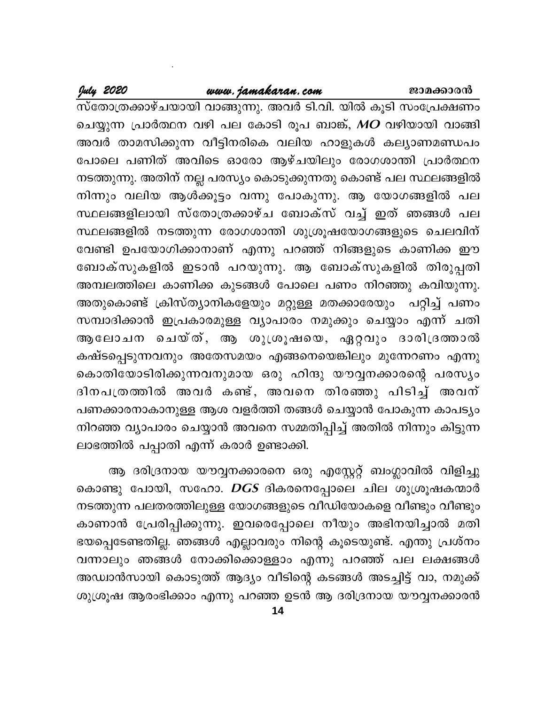## www.jamakaran.com

July 2020

സ്തോത്രക്കാഴ്ചയായി വാങ്ങുന്നു. അവർ ടി.വി. യിൽ കൂടി സംപ്രേക്ഷണം ചെയ്യുന്ന പ്രാർത്ഥന വഴി പല കോടി രൂപ ബാങ്ക്, MO വഴിയായി വാങ്ങി അവർ താമസിക്കുന്ന വീട്ടിനരികെ വലിയ ഹാളുകൾ കല്യാണമണ്ഡപം പോലെ പണിത് അവിടെ ഓരോ ആഴ്ചയിലും രോഗശാന്തി പ്രാർത്ഥന നടത്തുന്നു. അതിന് നല്ല പരസ്യം കൊടുക്കുന്നതു കൊണ്ട് പല സ്ഥലങ്ങളിൽ നിന്നും വലിയ ആൾക്കൂട്ടം വന്നു പോകുന്നു. ആ യോഗങ്ങളിൽ പല സ്ഥലങ്ങളിലായി സ്തോത്രക്കാഴ്ച ബോക്സ് വച്ച് ഇത് ഞങ്ങൾ പല സ്ഥലങ്ങളിൽ നടത്തുന്ന രോഗശാന്തി ശുശ്രൂഷയോഗങ്ങളുടെ ചെലവിന് വേണ്ടി ഉപയോഗിക്കാനാണ് എന്നു പറഞ്ഞ് നിങ്ങളുടെ കാണിക്ക ഈ ബോക്സുകളിൽ ഇടാൻ പറയുന്നു. ആ ബോക്സുകളിൽ തിരുപ്പതി അമ്പലത്തിലെ കാണിക്ക കുടങ്ങൾ പോലെ പണം നിറഞ്ഞു കവിയുന്നു. അതുകൊണ്ട് ക്രിസ്ത്യാനികളേയും മറ്റുള്ള മതക്കാരേയും പറ്റിച്ച് പണം സമ്പാദിക്കാൻ ഇപ്രകാരമുള്ള വ്യാപാരം നമുക്കും ചെയ്യാം എന്ന് ചതി ആലോചന ചെയ്ത്, ആ ശുശ്രൂഷയെ, ഏറ്റവും ദാരിദ്രത്താൽ കഷ്ടപ്പെടുന്നവനും അതേസമയം എങ്ങനെയെങ്കിലും മുന്നേറണം എന്നു കൊതിയോടിരിക്കുന്നവനുമായ ഒരു ഹിന്ദു യൗവ്വനക്കാരന്റെ പരസ്യം ദിനപത്രത്തിൽ അവർ കണ്ട്, അവനെ തിരഞ്ഞു പിടിച്ച് അവന് പണക്കാരനാകാനുള്ള ആശ വളർത്തി തങ്ങൾ ചെയ്യാൻ പോകുന്ന കാപട്യം നിറഞ്ഞ വ്യാപാരം ചെയ്യാൻ അവനെ സമ്മതിപ്പിച്ച് അതിൽ നിന്നും കിട്ടുന്ന ലാഭത്തിൽ പപ്പാതി എന്ന് കരാർ ഉണ്ടാക്കി.

ആ ദരിദ്രനായ യൗവ്വനക്കാരനെ ഒരു എസ്റ്റേറ്റ് ബംഗ്ലാവിൽ വിളിച്ചു കൊണ്ടു പോയി, സഹോ. DGS ദികരനെപ്പോലെ ചില ശുശ്രൂഷകന്മാർ നടത്തുന്ന പലതരത്തിലുള്ള യോഗങ്ങളുടെ വീഡിയോകളെ വീണ്ടും വീണ്ടും കാണാൻ പ്രേരിപ്പിക്കുന്നു. ഇവരെപ്പോലെ നീയും അഭിനയിച്ചാൽ മതി ഭയപ്പെടേണ്ടതില്ല. ഞങ്ങൾ എല്ലാവരും നിന്റെ കൂടെയുണ്ട്. എന്തു പ്രശ്നം വന്നാലും ഞങ്ങൾ നോക്കിക്കൊള്ളാം എന്നു പറഞ്ഞ് പല ലക്ഷങ്ങൾ അഡ്വാൻസായി കൊടുത്ത് ആദ്യം വീടിന്റെ കടങ്ങൾ അടച്ചിട്ട് വാ, നമുക്ക് ശുശ്രൂഷ ആരംഭിക്കാം എന്നു പറഞ്ഞ ഉടൻ ആ ദരിദ്രനായ യൗവ്വനക്കാരൻ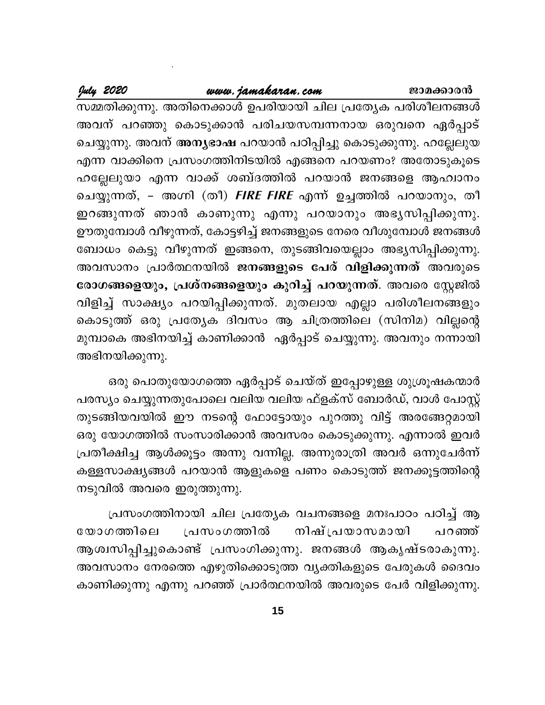#### www.jamakaran.com

July 2020

സമ്മതിക്കുന്നു. അതിനെക്കാൾ ഉപരിയായി ചില പ്രത്യേക പരിശീലനങ്ങൾ അവന് പറഞ്ഞു കൊടുക്കാൻ പരിചയസമ്പന്നനായ ഒരുവനെ ഏർപ്പാട് ചെയ്യുന്നു. അവന് അന്യഭാഷ പറയാൻ പഠിപ്പിച്ചു കൊടുക്കുന്നു. ഹല്ലേലുയ എന്ന വാക്കിനെ പ്രസംഗത്തിനിടയിൽ എങ്ങനെ പറയണം? അതോടുകൂടെ ഹല്ലേലുയാ എന്ന വാക്ക് ശബ്ദത്തിൽ പറയാൻ ജനങ്ങളെ ആഹ്വാനം ചെയ്യുന്നത്, – അഗ്നി (തീ) FIRE FIRE എന്ന് ഉച്ചത്തിൽ പറയാനും, തീ ഇറങ്ങുന്നത് ഞാൻ കാണുന്നു എന്നു പറയാനും അഭ്യസിപ്പിക്കുന്നു. ഊതുമ്പോൾ വീഴുന്നത്, കോട്ടഴിച്ച് ജനങ്ങളുടെ നേരെ വീശുമ്പോൾ ജനങ്ങൾ ബോധം കെട്ടു വീഴുന്നത് ഇങ്ങനെ, തുടങ്ങിവയെല്ലാം അഭ്യസിപ്പിക്കുന്നു. അവസാനം പ്രാർത്ഥനയിൽ ജനങ്ങളുടെ പേര് വിളിക്കുന്നത് അവരുടെ രോഗങ്ങളെയും, പ്രശ്നങ്ങളെയും കുറിച്ച് പറയുന്നത്. അവരെ സ്റ്റേജിൽ വിളിച്ച് സാക്ഷ്യം പറയിപ്പിക്കുന്നത്. മുതലായ എല്ലാ പരിശീലനങ്ങളും കൊടുത്ത് ഒരു പ്രത്യേക ദിവസം ആ ചിത്രത്തിലെ (സിനിമ) വില്ലന്റെ മുമ്പാകെ അഭിനയിച്ച് കാണിക്കാൻ ഏർപ്പാട് ചെയ്യുന്നു. അവനും നന്നായി അഭിനയിക്കുന്നു.

ഒരു പൊതുയോഗത്തെ ഏർപ്പാട് ചെയ്ത് ഇപ്പോഴുള്ള ശുശ്രൂഷകന്മാർ പരസ്യം ചെയ്യുന്നതുപോലെ വലിയ വലിയ ഫ്ളക്സ് ബോർഡ്, വാൾ പോസ്റ്റ് തുടങ്ങിയവയിൽ ഈ നടന്റെ ഫോട്ടോയും പുറത്തു വിട്ട് അരങ്ങേറ്റമായി ഒരു യോഗത്തിൽ സംസാരിക്കാൻ അവസരം കൊടുക്കുന്നു. എന്നാൽ ഇവർ പ്രതീക്ഷിച്ച ആൾക്കൂട്ടം അന്നു വന്നില്ല. അന്നുരാത്രി അവർ ഒന്നുചേർന്ന് കള്ളസാക്ഷ്യങ്ങൾ പറയാൻ ആളുകളെ പണം കൊടുത്ത് ജനക്കൂട്ടത്തിന്റെ നടുവിൽ അവരെ ഇരുത്തുന്നു.

പ്രസംഗത്തിനായി ചില പ്രത്യേക വചനങ്ങളെ മനഃപാഠം പഠിച്ച് ആ നിഷ് പ്രയാസമായി യോഗത്തിലെ പ്രസംഗത്തിൽ പറഞ്ഞ് ആശ്വസിപ്പിച്ചുകൊണ്ട് പ്രസംഗിക്കുന്നു. ജനങ്ങൾ ആകൃഷ്ടരാകുന്നു. അവസാനം നേരത്തെ എഴുതിക്കൊടുത്ത വൃക്തികളുടെ പേരുകൾ ദൈവം കാണിക്കുന്നു എന്നു പറഞ്ഞ് പ്രാർത്ഥനയിൽ അവരുടെ പേർ വിളിക്കുന്നു.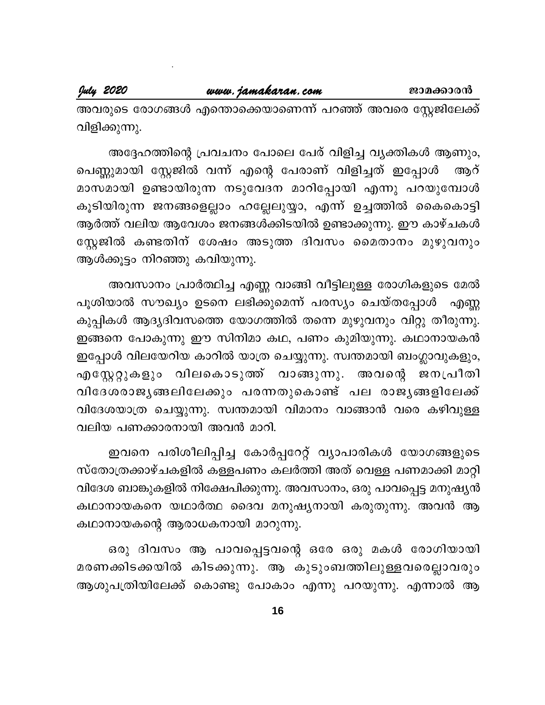അവരുടെ രോഗങ്ങൾ എന്തൊക്കെയാണെന്ന് പറഞ്ഞ് അവരെ സ്റ്റേജിലേക്ക് വിളിക്കുന്നു.

അദ്ദേഹത്തിന്റെ പ്രവചനം പോലെ പേര് വിളിച്ച വ്യക്തികൾ ആണും, പെണ്ണുമായി സ്റ്റേജിൽ വന്ന് എന്റെ പേരാണ് വിളിച്ചത് ഇപ്പോൾ ആറ് മാസമായി ഉണ്ടായിരുന്ന നടുവേദന മാറിപ്പോയി എന്നു പറയുമ്പോൾ കൂടിയിരുന്ന ജനങ്ങളെല്ലാം ഹല്ലേലുയ്യാ, എന്ന് ഉച്ചത്തിൽ കൈകൊട്ടി ആർത്ത് വലിയ ആവേശം ജനങ്ങൾക്കിടയിൽ ഉണ്ടാക്കുന്നു. ഈ കാഴ്ചകൾ സ്റ്റേജിൽ കണ്ടതിന് ശേഷം അടുത്ത ദിവസം മൈതാനം മുഴുവനും ആൾക്കൂട്ടം നിറഞ്ഞു കവിയുന്നു.

അവസാനം പ്രാർത്ഥിച്ച എണ്ണ വാങ്ങി വീട്ടിലുള്ള രോഗികളുടെ മേൽ പൂശിയാൽ സൗഖ്യം ഉടനെ ലഭിക്കുമെന്ന് പരസ്യം ചെയ്തപ്പോൾ എണ്ണ കുപ്പികൾ ആദ്യദിവസത്തെ യോഗത്തിൽ തന്നെ മുഴുവനും വിറ്റു തീരുന്നു. ഇങ്ങനെ പോകുന്നു ഈ സിനിമാ കഥ, പണം കുമിയുന്നു. കഥാനായകൻ ഇപ്പോൾ വിലയേറിയ കാറിൽ യാത്ര ചെയ്യുന്നു. സ്വന്തമായി ബംഗ്ലാവുകളും, എസ്റ്റേറ്റുകളും വിലകൊടുത്ത് വാങ്ങുന്നു. അവന്റെ ജനപ്രീതി വിദേശരാജൃങ്ങലിലേക്കും പരന്നതുകൊണ്ട് പല രാജൃങ്ങളിലേക്ക് വിദേശയാത്ര ചെയ്യുന്നു. സ്വന്തമായി വിമാനം വാങ്ങാൻ വരെ കഴിവുള്ള വലിയ പണക്കാരനായി അവൻ മാറി.

ഇവനെ പരിശീലിപ്പിച്ച കോർപ്പറേറ്റ് വ്യാപാരികൾ യോഗങ്ങളുടെ സ്തോത്രക്കാഴ്ചകളിൽ കള്ളപണം കലർത്തി അത് വെള്ള പണമാക്കി മാറ്റി വിദേശ ബാങ്കുകളിൽ നിക്ഷേപിക്കുന്നു. അവസാനം, ഒരു പാവപ്പെട്ട മനുഷ്യൻ കഥാനായകനെ യഥാർത്ഥ ദൈവ മനുഷ്യനായി കരുതുന്നു. അവൻ ആ കഥാനായകന്റെ ആരാധകനായി മാറുന്നു.

ഒരു ദിവസം ആ പാവപ്പെട്ടവന്റെ ഒരേ ഒരു മകൾ രോഗിയായി മരണക്കിടക്കയിൽ കിടക്കുന്നു. ആ കുടുംബത്തിലുള്ളവരെല്ലാവരും ആശുപത്രിയിലേക്ക് കൊണ്ടു പോകാം എന്നു പറയുന്നു. എന്നാൽ ആ

16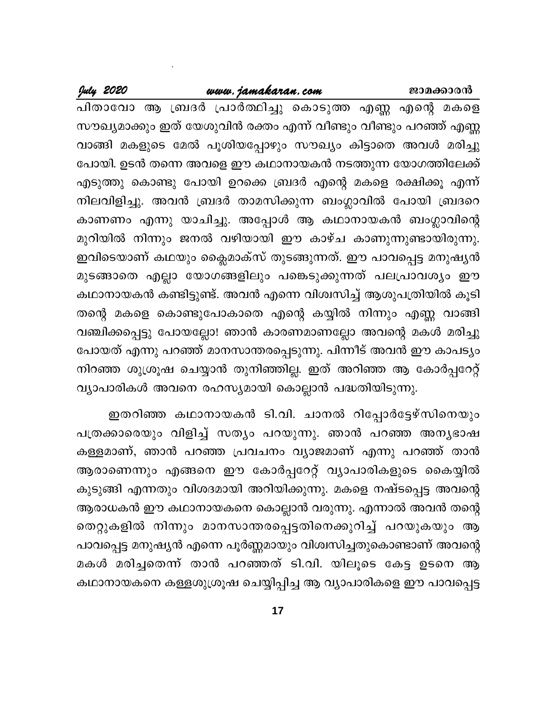#### www.jamakaran.com

July 2020

പിതാവോ ആ ബ്രദർ പ്രാർത്ഥിച്ചു കൊടുത്ത എണ്ണ എന്റെ മകളെ സൗഖ്യമാക്കും ഇത് യേശുവിൻ രക്തം എന്ന് വീണ്ടും വീണ്ടും പറഞ്ഞ് എണ്ണ വാങ്ങി മകളുടെ മേൽ പൂശിയപ്പോഴും സൗഖ്യം കിട്ടാതെ അവൾ മരിച്ചു പോയി. ഉടൻ തന്നെ അവളെ ഈ കഥാനായകൻ നടത്തുന്ന യോഗത്തിലേക്ക് എടുത്തു കൊണ്ടു പോയി ഉറക്കെ ബ്രദർ എന്റെ മകളെ രക്ഷിക്കൂ എന്ന് നിലവിളിച്ചു. അവൻ ബ്രദർ താമസിക്കുന്ന ബംഗ്ലാവിൽ പോയി ബ്രദറെ കാണണം എന്നു യാചിച്ചു. അപ്പോൾ ആ കഥാനായകൻ ബംഗ്ലാവിന്റെ മുറിയിൽ നിന്നും ജനൽ വഴിയായി ഈ കാഴ്ച കാണുന്നുണ്ടായിരുന്നു. ഇവിടെയാണ് കഥയും ക്ലൈമാക്സ് തുടങ്ങുന്നത്. ഈ പാവപ്പെട്ട മനുഷ്യൻ മുടങ്ങാതെ എല്ലാ യോഗങ്ങളിലും പങ്കെടുക്കുന്നത് പലപ്രാവശ്യം ഈ കഥാനായകൻ കണ്ടിട്ടുണ്ട്. അവൻ എന്നെ വിശ്വസിച്ച് ആശുപത്രിയിൽ കൂടി തന്റെ മകളെ കൊണ്ടുപോകാതെ എന്റെ കയ്യിൽ നിന്നും എണ്ണ വാങ്ങി വഞ്ചിക്കപ്പെട്ടു പോയല്ലോ! ഞാൻ കാരണമാണല്ലോ അവന്റെ മകൾ മരിച്ചു പോയത് എന്നു പറഞ്ഞ് മാനസാന്തരപ്പെടുന്നു. പിന്നീട് അവൻ ഈ കാപട്യം നിറഞ്ഞ ശുശ്രൂഷ ചെയ്യാൻ തുനിഞ്ഞില്ല. ഇത് അറിഞ്ഞ ആ കോർപ്പറേറ്റ് വ്യാപാരികൾ അവനെ രഹസ്യമായി കൊല്ലാൻ പദ്ധതിയിടുന്നു.

ഇതറിഞ്ഞ കഥാനായകൻ ടി.വി. ചാനൽ റിപ്പോർട്ടേഴ്സിനെയും പത്രക്കാരെയും വിളിച്ച് സത്യം പറയുന്നു. ഞാൻ പറഞ്ഞ അന്യഭാഷ കള്ളമാണ്, ഞാൻ പറഞ്ഞ പ്രവചനം വ്യാജമാണ് എന്നു പറഞ്ഞ് താൻ ആരാണെന്നും എങ്ങനെ ഈ കോർപ്പറേറ്റ് വ്യാപാരികളുടെ കൈയ്യിൽ കുടുങ്ങി എന്നതും വിശദമായി അറിയിക്കുന്നു. മകളെ നഷ്ടപ്പെട്ട അവന്റെ ആരാധകൻ ഈ കഥാനായകനെ കൊല്ലാൻ വരുന്നു. എന്നാൽ അവൻ തന്റെ തെറ്റുകളിൽ നിന്നും മാനസാന്തരപ്പെട്ടതിനെക്കുറിച്ച് പറയുകയും ആ പാവപ്പെട്ട മനുഷ്യൻ എന്നെ പൂർണ്ണമായും വിശ്വസിച്ചതുകൊണ്ടാണ് അവന്റെ മകൾ മരിച്ചതെന്ന് താൻ പറഞ്ഞത് ടി.വി. യിലൂടെ കേട്ട ഉടനെ ആ കഥാനായകനെ കള്ളശുശ്രൂഷ ചെയ്യിപ്പിച്ച ആ വ്യാപാരികളെ ഈ പാവപ്പെട്ട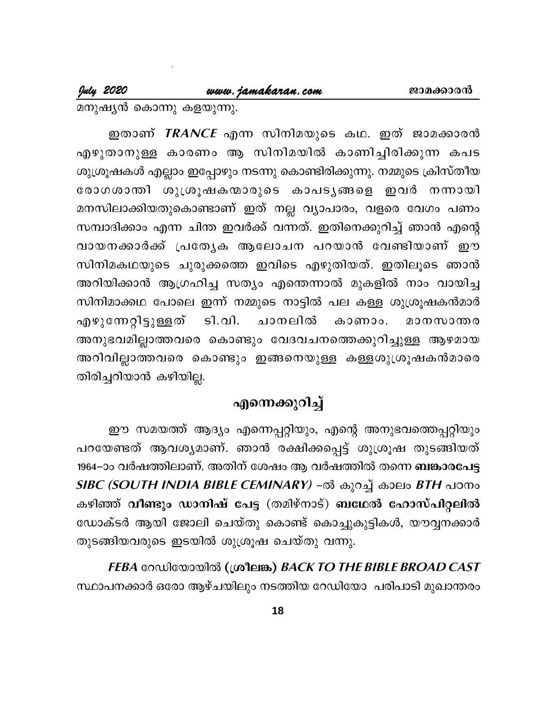July 2020

മനുഷ്യൻ കൊന്നു കളയുന്നു.

ഇതാണ് *TRANCE* എന്ന സിനിമയുടെ കഥ. ഇത് ജാമക്കാരൻ എഴുതാനുള്ള കാരണം ആ സിനിമയിൽ കാണിച്ചിരിക്കുന്ന കപട ശുശ്രൂഷകൾ എല്ലാം ഇപ്പോഴും നടന്നു കൊണ്ടിരിക്കുന്നു. നമ്മുടെ ക്രിസ്തീയ രോഗശാന്തി ശുശ്രൂഷകന്മാരുടെ കാപടൃങ്ങളെ ഇവർ നന്നായി മനസിലാക്കിയതുകൊണ്ടാണ് ഇത് നല്ല വ്യാപാരം, വളരെ വേഗം പണം സമ്പാദിക്കാം എന്ന ചിന്ത ഇവർക്ക് വന്നത്. ഇതിനെക്കുറിച്ച് ഞാൻ എന്റെ വായനക്കാർക്ക് പ്രത്യേക ആലോചന പറയാൻ വേണ്ടിയാണ് ഈ സിനിമകഥയുടെ ചുരുക്കത്തെ ഇവിടെ എഴുതിയത്. ഇതിലൂടെ ഞാൻ അറിയിക്കാൻ ആഗ്രഹിച്ച സത്യം എന്തെന്നാൽ മുകളിൽ നാം വായിച്ച സിനിമാക്കഥ പോലെ ഇന്ന് നമ്മുടെ നാട്ടിൽ പല കള്ള ശുശ്രൂഷകൻമാർ എഴുന്നേറ്റിട്ടുള്ളത് ടി.വി. ചാനലിൽ കാണാം. മാനസാന്തര അനുഭവമില്ലാത്തവരെ കൊണ്ടും വേദവചനത്തെക്കുറിച്ചുള്ള ആഴമായ അറിവില്ലാത്തവരെ കൊണ്ടും ഇങ്ങനെയുള്ള കള്ളശുശ്രൂഷകൻമാരെ തിരിച്ചറിയാൻ കഴിയില്ല.

### എന്നെക്കുറിച്ച്

ഈ സമയത്ത് ആദ്യം എന്നെപ്പറ്റിയും, എന്റെ അനുഭവത്തെപ്പറ്റിയും പറയേണ്ടത് ആവശ്യമാണ്. ഞാൻ രക്ഷിക്കപ്പെട്ട് ശുശ്രൂഷ തുടങ്ങിയത് 1964–ാം വർഷത്തിലാണ്. അതിന് ശേഷം ആ വർഷത്തിൽ തന്നെ ബങ്കാരപേട്ട SIBC (SOUTH INDIA BIBLE CEMINARY) -ൽ കുറച്ച് കാലം BTH പഠനം കഴിഞ്ഞ് വീണ്ടും ഡാനിഷ് പേട്ട (തമിഴ്നാട്) ബഥേൽ ഹോസ്പിറ്റലിൽ ഡോക്ടർ ആയി ജോലി ചെയ്തു കൊണ്ട് കൊച്ചുകുട്ടികൾ, യൗവ്വനക്കാർ തുടങ്ങിയവരുടെ ഇടയിൽ ശുശ്രൂഷ ചെയ്തു വന്നു.

FEBA റേഡിയോയിൽ (ശ്രീലങ്ക) BACK TO THE BIBLE BROAD CAST സ്ഥാപനക്കാർ ഒരോ ആഴ്ചയിലും നടത്തിയ റേഡിയോ പരിപാടി മുഖാന്തരം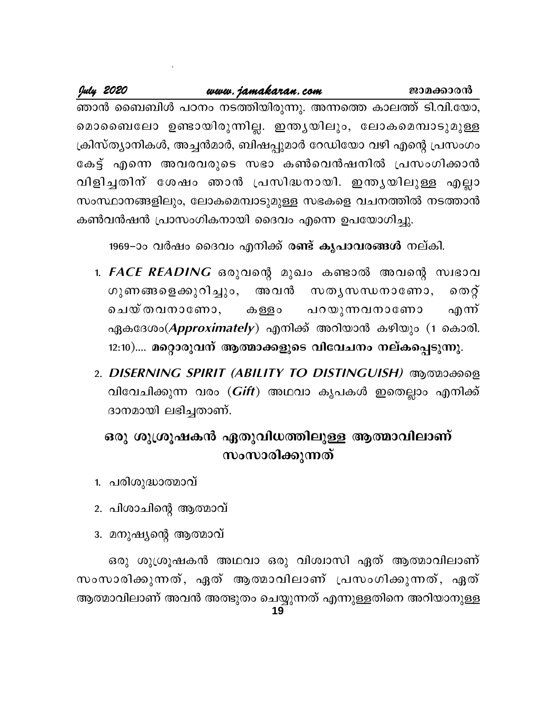| July 2020<br>www.jamakaran.com |  |  |                                                               | ജാമക്കാരൻ |  |  |  |
|--------------------------------|--|--|---------------------------------------------------------------|-----------|--|--|--|
|                                |  |  | ഞാൻ ബൈബിൾ പഠനം നടത്തിയിരുന്നു. അന്നത്തെ കാലത്ത് ടി.വി.യോ,     |           |  |  |  |
|                                |  |  | മൊബൈലോ ഉണ്ടായിരുന്നില്ല. ഇന്തൃയിലും, ലോകമെമ്പാടുമുള്ള         |           |  |  |  |
|                                |  |  | ക്രിസ്ത്യാനികൾ, അച്ചൻമാർ, ബിഷപ്പുമാർ റേഡിയോ വഴി എന്റെ പ്രസംഗം |           |  |  |  |
|                                |  |  | കേട്ട് എന്നെ അവരവരുടെ സഭാ കൺവെൻഷനിൽ പ്രസംഗിക്കാൻ              |           |  |  |  |
|                                |  |  | വിളിച്ചതിന് ശേഷം ഞാൻ പ്രസിദ്ധനായി. ഇന്തൃയിലുള്ള എല്ലാ         |           |  |  |  |
|                                |  |  | സംസ്ഥാനങ്ങളിലും, ലോകമെമ്പാടുമുള്ള സഭകളെ വചനത്തിൽ നടത്താൻ      |           |  |  |  |
|                                |  |  | കൺവൻഷൻ പ്രാസംഗികനായി ദൈവം എന്നെ ഉപയോഗിച്ചു.                   |           |  |  |  |

1969–ാം വർഷം ദൈവം എനിക്ക് രണ്ട് കൃപാവരങ്ങൾ നല്കി.

- 1. FACE READING ഒരുവന്റെ മുഖം കണ്ടാൽ അവന്റെ സ്വഭാവ ഗുണങ്ങളെക്കുറിച്ചും, അവൻ സതൃസന്ധനാണോ, തെറ്റ് ചെയ്തവനാണോ. പറയുന്നവനാണോ എന്ന് കള്ളാ ഏകദേശം(Approximately) എനിക്ക് അറിയാൻ കഴിയും (1 കൊരി. 12:10).... മറ്റൊരുവന് ആത്മാക്കളുടെ വിവേചനം നല്കപ്പെടുന്നു.
- 2. DISERNING SPIRIT (ABILITY TO DISTINGUISH) ആത്മാക്കളെ വിവേചിക്കുന്ന വരം (*Gift*) അഥവാ കൃപകൾ ഇതെല്ലാം എനിക്ക് ദാനമായി ലഭിച്ചതാണ്.

# ഒരു ശുശ്രൂഷകൻ ഏതുവിധത്തിലുള്ള ആത്മാവിലാണ് സംസാരിക്കുന്നത്

- 1. പരിശുദ്ധാത്മാവ്
- 2. പിശാചിന്റെ ആത്മാവ്
- 3. മനുഷ്യന്റെ ആത്മാവ്

ഒരു ശുശ്രൂഷകൻ അഥവാ ഒരു വിശ്വാസി ഏത് ആത്മാവിലാണ് സംസാരിക്കുന്നത്, ഏത് ആത്മാവിലാണ് പ്രസംഗിക്കുന്നത്, ഏത് ആത്മാവിലാണ് അവൻ അത്ഭുതം ചെയ്യുന്നത് എന്നുള്ളതിനെ അറിയാനുള്ള 19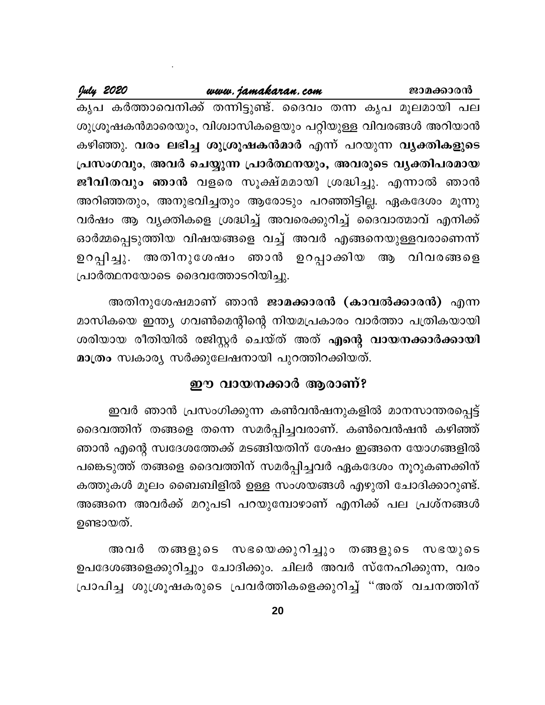July 2020

ജാമക്കാരൻ

കൃപ കർത്താവെനിക്ക് തന്നിട്ടുണ്ട്. ദൈവം തന്ന കൃപ മൂലമായി പല ശുശ്രൂഷകൻമാരെയും, വിശ്വാസികളെയും പറ്റിയുള്ള വിവരങ്ങൾ അറിയാൻ കഴിഞ്ഞു. വരം ലഭിച്ച ശുശ്രൂഷകൻമാർ എന്ന് പറയുന്ന വ്യക്തികളുടെ പ്രസംഗവും, അവർ ചെയ്യുന്ന പ്രാർത്ഥനയും, അവരുടെ വൃക്തിപരമായ ജീവിതവും ഞാൻ വളരെ സൂക്ഷ്മമായി ശ്രദ്ധിച്ചു. എന്നാൽ ഞാൻ അറിഞ്ഞതും, അനുഭവിച്ചതും ആരോടും പറഞ്ഞിട്ടില്ല. ഏകദേശം മൂന്നു വർഷം ആ വൃക്തികളെ ശ്രദ്ധിച്ച് അവരെക്കുറിച്ച് ദൈവാത്മാവ് എനിക്ക് ഓർമ്മപ്പെടുത്തിയ വിഷയങ്ങളെ വച്ച് അവർ എങ്ങനെയുള്ളവരാണെന്ന് ഉറപ്പിച്ചു. അതിനുശേഷം ഞാൻ ഉറപ്പാക്കിയ ആ വിവരങ്ങളെ പ്രാർത്ഥനയോടെ ദൈവത്തോടറിയിച്ചു.

അതിനുശേഷമാണ് ഞാൻ ജാമക്കാരൻ (കാവൽക്കാരൻ) എന്ന മാസികയെ ഇന്ത്യ ഗവൺമെന്റിന്റെ നിയമപ്രകാരം വാർത്താ പത്രികയായി ശരിയായ രീതിയിൽ രജിസ്റ്റർ ചെയ്ത് അത് <mark>എന്റെ വായനക്കാർക്കായി</mark> മാത്രം സ്വകാര്യ സർക്കുലേഷനായി പുറത്തിറക്കിയത്.

### ഈ വായനക്കാർ ആരാണ്?

ഇവർ ഞാൻ പ്രസംഗിക്കുന്ന കൺവൻഷനുകളിൽ മാനസാന്തരപ്പെട്ട് ദൈവത്തിന് തങ്ങളെ തന്നെ സമർപ്പിച്ചവരാണ്. കൺവെൻഷൻ കഴിഞ്ഞ് ഞാൻ എന്റെ സ്വദേശത്തേക്ക് മടങ്ങിയതിന് ശേഷം ഇങ്ങനെ യോഗങ്ങളിൽ പങ്കെടുത്ത് തങ്ങളെ ദൈവത്തിന് സമർപ്പിച്ചവർ ഏകദേശം നൂറുകണക്കിന് കത്തുകൾ മൂലം ബൈബിളിൽ ഉള്ള സംശയങ്ങൾ എഴുതി ചോദിക്കാറുണ്ട്. അങ്ങനെ അവർക്ക് മറുപടി പറയുമ്പോഴാണ് എനിക്ക് പല പ്രശ്നങ്ങൾ ഉണ്ടായത്.

തങ്ങളുടെ സഭയെക്കുറിച്ചും തങ്ങളുടെ സഭയുടെ അവർ ഉപദേശങ്ങളെക്കുറിച്ചും ചോദിക്കും. ചിലർ അവർ സ്നേഹിക്കുന്ന, വരം പ്രാപിച്ച ശുശ്രൂഷകരുടെ പ്രവർത്തികളെക്കുറിച്ച് "അത് വചനത്തിന്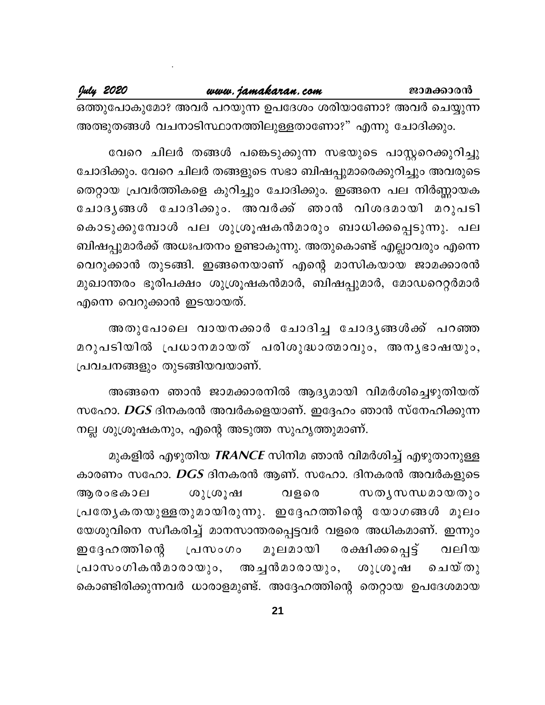July 2020

ഒത്തുപോകുമോ? അവർ പറയുന്ന ഉപദേശം ശരിയാണോ? അവർ ചെയ്യുന്ന അത്ഭുതങ്ങൾ വചനാടിസ്ഥാനത്തിലുള്ളതാണോ?" എന്നു ചോദിക്കും.

വേറെ ചിലർ തങ്ങൾ പങ്കെടുക്കുന്ന സഭയുടെ പാസ്റ്ററെക്കുറിച്ചു ചോദിക്കും. വേറെ ചിലർ തങ്ങളുടെ സഭാ ബിഷപ്പുമാരെക്കുറിച്ചും അവരുടെ തെറ്റായ പ്രവർത്തികളെ കുറിച്ചും ചോദിക്കും. ഇങ്ങനെ പല നിർണ്ണായക ചോദൃങ്ങൾ ചോദിക്കും. അവർക്ക് ഞാൻ വിശദമായി മറുപടി കൊടുക്കുമ്പോൾ പല ശുശ്രൂഷകൻമാരും ബാധിക്കപ്പെടുന്നു. പല ബിഷപ്പുമാർക്ക് അധഃപതനം ഉണ്ടാകുന്നു. അതുകൊണ്ട് എല്ലാവരും എന്നെ വെറുക്കാൻ തുടങ്ങി. ഇങ്ങനെയാണ് എന്റെ മാസികയായ ജാമക്കാരൻ മുഖാന്തരം ഭൂരിപക്ഷം ശുശ്രൂഷകൻമാർ, ബിഷപ്പുമാർ, മോഡറെറ്റർമാർ എന്നെ വെറുക്കാൻ ഇടയായത്.

അതുപോലെ വായനക്കാർ ചോദിച്ച ചോദൃങ്ങൾക്ക് പറഞ്ഞ മറുപടിയിൽ പ്രധാനമായത് പരിശുദ്ധാത്മാവും, അനൃഭാഷയും, പ്രവചനങ്ങളും തുടങ്ങിയവയാണ്.

അങ്ങനെ ഞാൻ ജാമക്കാരനിൽ ആദ്യമായി വിമർശിച്ചെഴുതിയത് സഹോ.  $\overline{\textit{DGS}}$  ദിനകരൻ അവർകളെയാണ്. ഇദ്ദേഹം ഞാൻ സ്നേഹിക്കുന്ന നല്ല ശുശ്രൂഷകനും, എന്റെ അടുത്ത സുഹൃത്തുമാണ്.

മുകളിൽ എഴുതിയ *TRANCE* സിനിമ ഞാൻ വിമർശിച്ച് എഴുതാനുള്ള കാരണം സഹോ.  $DGS$  ദിനകരൻ ആണ്. സഹോ. ദിനകരൻ അവർകളുടെ ആരംഭകാല ശുശ്രൂഷ വളരെ സതൃസന്ധമായതും പ്രത്യേകതയുള്ളതുമായിരുന്നു. ഇദ്ദേഹത്തിന്റെ യോഗങ്ങൾ മൂലം യേശുവിനെ സ്വീകരിച്ച് മാനസാന്തരപ്പെട്ടവർ വളരെ അധികമാണ്. ഇന്നും ഇദ്ദേഹ ത്തിന്റെ രക്ഷിക്കപ്പെട്ട് മൂലമായി പ്രസംഗം വലിയ പ്രാസംഗികൻമാരായും, അച്ചൻമാരായും, ശുശൂഷ ചെയ്തു കൊണ്ടിരിക്കുന്നവർ ധാരാളമുണ്ട്. അദ്ദേഹത്തിന്റെ തെറ്റായ ഉപദേശമായ

 $21$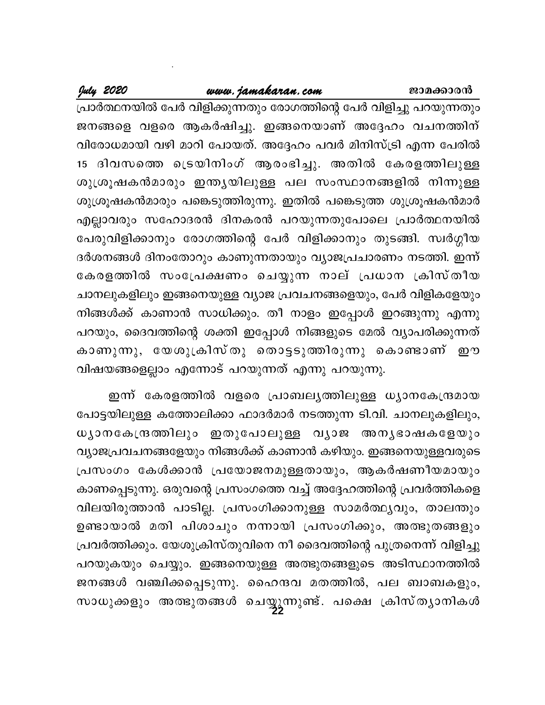## www.jamakaran.com

July 2020

പ്രാർത്ഥനയിൽ പേർ വിളിക്കുന്നതും രോഗത്തിന്റെ പേർ വിളിച്ചു പറയുന്നതും ജനങ്ങളെ വളരെ ആകർഷിച്ചു. ഇങ്ങനെയാണ് അദ്ദേഹം വചനത്തിന് വിരോധമായി വഴി മാറി പോയത്. അദ്ദേഹം പവർ മിനിസ്ട്രി എന്ന പേരിൽ 15 ദിവസത്തെ ട്രെയിനിംഗ് ആരംഭിച്ചു. അതിൽ കേരളത്തിലുള്ള ശുശ്രൂഷകൻമാരും ഇന്ത്യയിലുള്ള പല സംസ്ഥാനങ്ങളിൽ നിന്നുള്ള ശുശ്രൂഷകൻമാരും പങ്കെടുത്തിരുന്നു. ഇതിൽ പങ്കെടുത്ത ശുശ്രൂഷകൻമാർ എല്ലാവരും സഹോദരൻ ദിനകരൻ പറയുന്നതുപോലെ പ്രാർത്ഥനയിൽ പേരുവിളിക്കാനും രോഗത്തിന്റെ പേർ വിളിക്കാനും തുടങ്ങി. സ്വർഗ്ഗീയ ദർശനങ്ങൾ ദിനംതോറും കാണുന്നതായും വ്യാജപ്രചാരണം നടത്തി. ഇന്ന് കേരളത്തിൽ സംപ്രേക്ഷണം ചെയ്യുന്ന നാല് പ്രധാന ക്രിസ്തീയ ചാനലുകളിലും ഇങ്ങനെയുള്ള വ്യാജ പ്രവചനങ്ങളെയും, പേർ വിളികളേയും നിങ്ങൾക്ക് കാണാൻ സാധിക്കും. തീ നാളം ഇപ്പോൾ ഇറങ്ങുന്നു എന്നു പറയും, ദൈവത്തിന്റെ ശക്തി ഇപ്പോൾ നിങ്ങളുടെ മേൽ വ്യാപരിക്കുന്നത് കാണുന്നു, യേശുക്രിസ്തു തൊട്ടടുത്തിരുന്നു കൊണ്ടാണ് ഈ വിഷയങ്ങളെല്ലാം എന്നോട് പറയുന്നത് എന്നു പറയുന്നു.

ഇന്ന് കേരളത്തിൽ വളരെ പ്രാബലൃത്തിലുള്ള ധ്യാനകേന്ദ്രമായ പോട്ടയിലുള്ള കത്തോലിക്കാ ഫാദർമാർ നടത്തുന്ന ടി.വി. ചാനലുകളിലും, ധ്യാനകേന്ദ്രത്തിലും ഇതുപോലുള്ള വ്യാജ അന്യഭാഷകളേയും വ്യാജപ്രവചനങ്ങളേയും നിങ്ങൾക്ക് കാണാൻ കഴിയും. ഇങ്ങനെയുള്ളവരുടെ പ്രസംഗം കേൾക്കാൻ പ്രയോജനമുള്ളതായും, ആകർഷണീയമായും കാണപ്പെടുന്നു. ഒരുവന്റെ പ്രസംഗത്തെ വച്ച് അദ്ദേഹത്തിന്റെ പ്രവർത്തികളെ വിലയിരുത്താൻ പാടില്ല. പ്രസംഗിക്കാനുള്ള സാമർത്ഥ്യവും, താലന്തും ഉണ്ടായാൽ മതി പിശാചും നന്നായി പ്രസംഗിക്കും, അത്ഭുതങ്ങളും പ്രവർത്തിക്കും. യേശുക്രിസ്തുവിനെ നീ ദൈവത്തിന്റെ പുത്രനെന്ന് വിളിച്ചു പറയുകയും ചെയ്യും. ഇങ്ങനെയുള്ള അത്ഭുതങ്ങളുടെ അടിസ്ഥാനത്തിൽ ജനങ്ങൾ വഞ്ചിക്കപ്പെടുന്നു. ഹൈന്ദവ മതത്തിൽ, പല ബാബകളും, സാധുക്കളും അത്ഭുതങ്ങൾ ചെയ്യുന്നുണ്ട്. പക്ഷെ ക്രിസ്തൃാനികൾ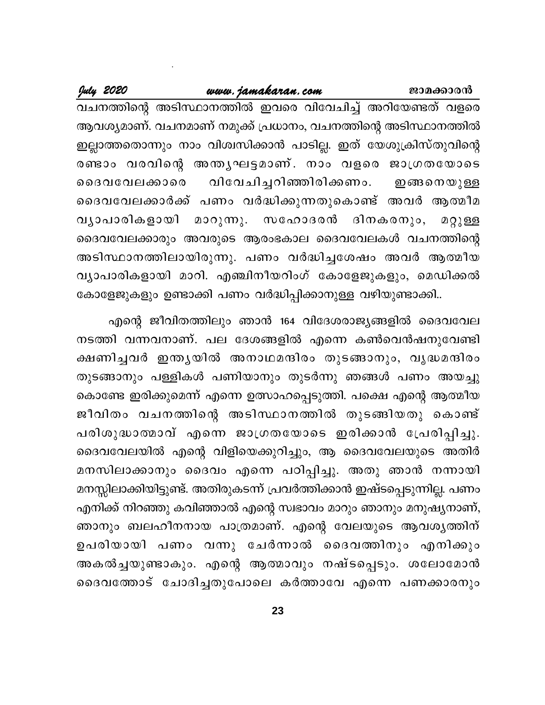July 2020

ജാമക്കാരൻ

വചനത്തിന്റെ അടിസ്ഥാനത്തിൽ ഇവരെ വിവേചിച്ച് അറിയേണ്ടത് വളരെ ആവശ്യമാണ്. വചനമാണ് നമുക്ക് പ്രധാനം, വചനത്തിന്റെ അടിസ്ഥാനത്തിൽ ഇല്ലാത്തതൊന്നും നാം വിശ്വസിക്കാൻ പാടില്ല. ഇത് യേശുക്രിസ്തുവിന്റെ രണ്ടാം വരവിന്റെ അന്ത്യഘട്ടമാണ്. നാം വളരെ ജാഗ്രതയോടെ വിവേചിച്ചറിഞ്ഞിരിക്കണം. ൈദവവേലക്കാരെ ഇങ്ങനെയുള്ള ദൈവവേലക്കാർക്ക് പണം വർദ്ധിക്കുന്നതുകൊണ്ട് അവർ ആത്മീമ ദിനകരനും, മാറുന്നു. സഹോദരൻ വൃാപാരികളായി മറ്റുള്ള ദൈവവേലക്കാരും അവരുടെ ആരംഭകാല ദൈവവേലകൾ വചനത്തിന്റെ അടിസ്ഥാനത്തിലായിരുന്നു. പണം വർദ്ധിച്ചശേഷം അവർ ആത്മീയ വ്യാപാരികളായി മാറി. എഞ്ചിനീയറിംഗ് കോളേജുകളും, മെഡിക്കൽ കോളേജുകളും ഉണ്ടാക്കി പണം വർദ്ധിപ്പിക്കാനുള്ള വഴിയുണ്ടാക്കി..

എന്റെ ജീവിതത്തിലും ഞാൻ 164 വിദേശരാജ്യങ്ങളിൽ ദൈവവേല നടത്തി വന്നവനാണ്. പല ദേശങ്ങളിൽ എന്നെ കൺവെൻഷനുവേണ്ടി ക്ഷണിച്ചവർ ഇന്തൃയിൽ അനാഥമന്ദിരം തുടങ്ങാനും, വൃദ്ധമന്ദിരം തുടങ്ങാനും പള്ളികൾ പണിയാനും തുടർന്നു ഞങ്ങൾ പണം അയച്ചു കൊണ്ടേ ഇരിക്കുമെന്ന് എന്നെ ഉത്സാഹപ്പെടുത്തി. പക്ഷെ എന്റെ ആത്മീയ ജീവിതം വചനത്തിന്റെ അടിസ്ഥാനത്തിൽ തുടങ്ങിയതു കൊണ്ട് പരിശുദ്ധാത്മാവ് എന്നെ ജാഗ്രതയോടെ ഇരിക്കാൻ പ്രേരിപ്പിച്ചു. ദൈവവേലയിൽ എന്റെ വിളിയെക്കുറിച്ചും, ആ ദൈവവേലയുടെ അതിർ മനസിലാക്കാനും ദൈവം എന്നെ പഠിപ്പിച്ചു. അതു ഞാൻ നന്നായി മനസ്സിലാക്കിയിട്ടുണ്ട്. അതിരുകടന്ന് പ്രവർത്തിക്കാൻ ഇഷ്ടപ്പെടുന്നില്ല. പണം എനിക്ക് നിറഞ്ഞു കവിഞ്ഞാൽ എന്റെ സ്വഭാവം മാറും ഞാനും മനുഷ്യനാണ്, ഞാനും ബലഹീനനായ പാത്രമാണ്. എന്റെ വേലയുടെ ആവശൃത്തിന് ഉപരിയായി പണം വന്നു ചേർന്നാൽ ദൈവത്തിനും എനിക്കും അകൽച്ചയുണ്ടാകും. എന്റെ ആത്മാവും നഷ്ടപ്പെടും. ശലോമോൻ ദൈവത്തോട് ചോദിച്ചതുപോലെ കർത്താവേ എന്നെ പണക്കാരനും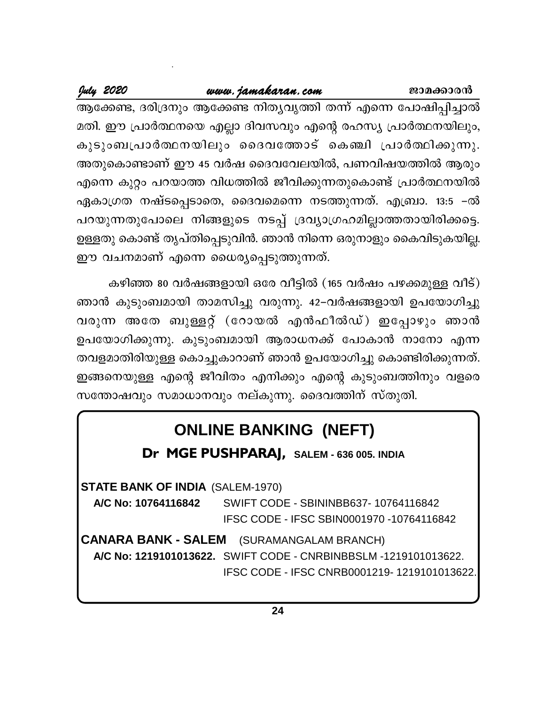July 2020

ആക്കേണ്ട, ദരിദ്രനും ആക്കേണ്ട നിത്യവൃത്തി തന്ന് എന്നെ പോഷിപ്പിച്ചാൽ മതി. ഈ പ്രാർത്ഥനയെ എല്ലാ ദിവസവും എന്റെ രഹസ്യ പ്രാർത്ഥനയിലും, കുടുംബപ്രാർത്ഥനയിലും ദൈവത്തോട് കെഞ്ചി പ്രാർത്ഥിക്കുന്നു. അതുകൊണ്ടാണ് ഈ 45 വർഷ ദൈവവേലയിൽ, പണവിഷയത്തിൽ ആരും എന്നെ കുറ്റം പറയാത്ത വിധത്തിൽ ജീവിക്കുന്നതുകൊണ്ട് പ്രാർത്ഥനയിൽ ഏകാഗ്രത നഷ്ടപ്പെടാതെ, ദൈവമെന്നെ നടത്തുന്നത്. എബ്രാ. 13:5 –ൽ പറയുന്നതുപോലെ നിങ്ങളുടെ നടപ്പ് ദ്രവ്യാഗ്രഹമില്ലാത്തതായിരിക്കട്ടെ. ഉള്ളതു കൊണ്ട് തൃപ്തിപ്പെടുവിൻ. ഞാൻ നിന്നെ ഒരുനാളും കൈവിടുകയില്ല. ഈ വചനമാണ് എന്നെ ധൈര്യപ്പെടുത്തുന്നത്.

കഴിഞ്ഞ 80 വർഷങ്ങളായി ഒരേ വീട്ടിൽ (165 വർഷം പഴക്കമുള്ള വീട്) ഞാൻ കുടുംബമായി താമസിച്ചു വരുന്നു. 42–വർഷങ്ങളായി ഉപയോഗിച്ചു വരുന്ന അതേ ബുള്ളറ്റ് (റോയൽ എൻഫീൽഡ്) ഇപ്പോഴും ഞാൻ ഉപയോഗിക്കുന്നു. കുടുംബമായി ആരാധനക്ക് പോകാൻ നാനോ എന്ന തവളമാതിരിയുള്ള കൊച്ചുകാറാണ് ഞാൻ ഉപയോഗിച്ചു കൊണ്ടിരിക്കുന്നത്. ഇങ്ങനെയുള്ള എന്റെ ജീവിതം എനിക്കും എന്റെ കുടുംബത്തിനും വളരെ സന്തോഷവും സമാധാനവും നല്കുന്നു. ദൈവത്തിന് സ്തുതി.

# **ONLINE BANKING (NEFT)**

Dr MGE PUSHPARAJ, SALEM - 636 005. INDIA

**STATE BANK OF INDIA (SALEM-1970)** 

A/C No: 10764116842 SWIFT CODE - SBININBB637-10764116842 IFSC CODE - IFSC SBIN0001970 -10764116842

**CANARA BANK - SALEM** (SURAMANGALAM BRANCH) A/C No: 1219101013622. SWIFT CODE - CNRBINBBSLM -1219101013622. IFSC CODE - IFSC CNRB0001219-1219101013622.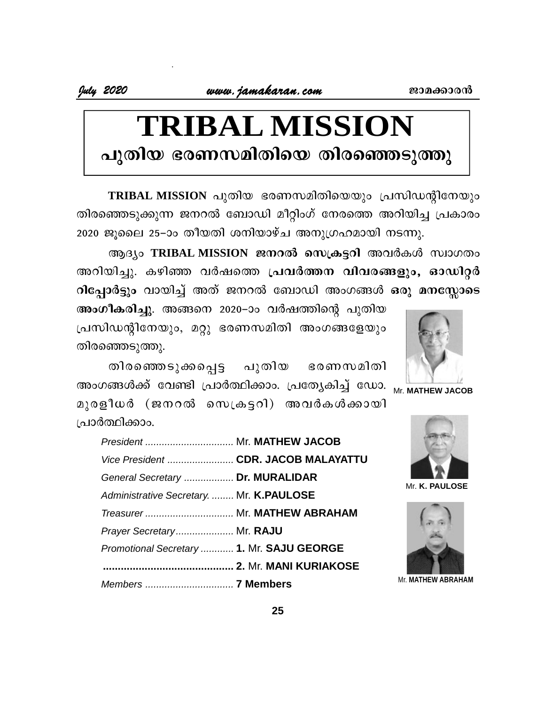# **TRIBAL MISSION** പുതിയ ഭരണസമിതിയെ തിരഞ്ഞെടുത്തു

**TRIBAL MISSION** പുതിയ ഭരണസമിതിയെയും പ്രസിഡന്റിനേയും തിരഞ്ഞെടുക്കുന്ന ജനറൽ ബോഡി മീറ്റിംഗ് നേരത്തെ അറിയിച്ച പ്രകാരം  $2020$  ജൂലൈ 25–ാം തീയതി ശനിയാഴ്ച അനുഗ്രഹമായി നടന്നു.

ആദ്യം TRIBAL MISSION ജനറൽ സെക്രട്ടറി അവർകൾ സ്വാഗതം അറിയിച്ചു. കഴിഞ്ഞ വർഷത്തെ **പ്രവർത്തന വിവരങ്ങളും, ഓഡിറ്റ**ർ **ിപ്പോർട്ടും** വായിച്ച് അത് ജനറൽ ബോഡി അംഗങ്ങൾ ഒരു മനസ്സോടെ



Mr. **MATHEW JACOB**

**അംഗീകരിച്ചു**. അങ്ങനെ 2020–ാം വർഷത്തിന്റെ പുതിയ പ്രസിഡന്റിനേയും, മറ്റു ഭരണസമിതി അംഗങ്ങളേയും തിരഞ്ഞെടുത്തു.  $\sigma$ ട്ടും പായിച്ച ത്രാം മന്തരം വേചാവ താരാതൊ കാ<br>പികരിച്ചു. അങ്ങനെ 2020–ാം വർഷത്തിന്റെ പുതിയ<br>സന്റിനേയും, മറ്റു ഭരണസമിതി അംഗങ്ങളേയും<br>ഞാടുത്തു.<br>ങ്ങൾക്ക് വേണ്ടി പ്രാർത്ഥിക്കാം. പ്രത്യേകിച്ച് ഡോ. <sub>Mr. I</sub><br>സർ (ജനറൽ സെക്രട്ടറി) അവ

അംഗങ്ങൾക്ക് വേണ്ടി പ്രാർത്ഥിക്കാം. പ്രത്യേകിച്ച് ഡോ. <sub>Mu</sub>

apcf o[À (P\d sk{I«dn ) AhÀIÄ¡mbn ്ര ഥർത്ഥിക്കാം.

| President  Mr. MATHEW JACOB |                                                                                                                                                                                                                                 |
|-----------------------------|---------------------------------------------------------------------------------------------------------------------------------------------------------------------------------------------------------------------------------|
|                             |                                                                                                                                                                                                                                 |
|                             | Mr. K                                                                                                                                                                                                                           |
|                             |                                                                                                                                                                                                                                 |
|                             |                                                                                                                                                                                                                                 |
|                             |                                                                                                                                                                                                                                 |
|                             |                                                                                                                                                                                                                                 |
|                             |                                                                                                                                                                                                                                 |
|                             | Mr. MATI                                                                                                                                                                                                                        |
|                             | Vice President  CDR. JACOB MALAYATTU<br>General Secretary  Dr. MURALIDAR<br>Administrative Secretary.  Mr. K.PAULOSE<br>Treasurer  Mr. MATHEW ABRAHAM<br>Prayer Secretary Mr. RAJU<br>Promotional Secretary  1. Mr. SAJU GEORGE |



Mr. **K. PAULOSE**



Mr. **MATHEW ABRAHAM**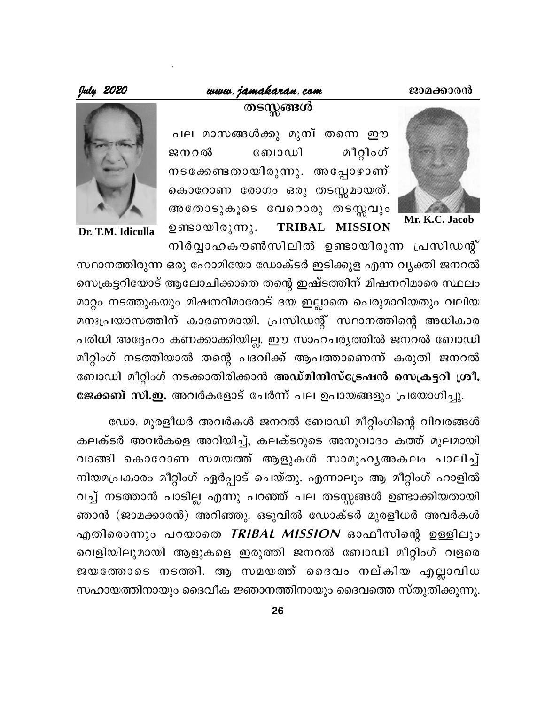#### www.jamakaran.com

July 2020



Mr. K.C. Jacob

പല മാസങ്ങൾക്കു മുമ്പ് തന്നെ ഈ മീറ്റിംഗ് ജനറൽ ബോഡി നടക്കേണ്ടതായിരുന്നു. അപ്പോഴാണ്

തടസ്സങ്ങൾ

കൊറോണ രോഗം ഒരു തടസ്സമായത്. അതോടുകൂടെ വേറൊരു തടസ്സവും ഉണ്ടായിരുന്നു. TRIBAL MISSION



Dr. T.M. Idiculla

നിർവ്വാഹകൗൺസിലിൽ ഉണ്ടായിരുന്ന പ്രസിഡന്റ് സ്ഥാനത്തിരുന്ന ഒരു ഹോമിയോ ഡോക്ടർ ഇടിക്കുള എന്ന വ്യക്തി ജനറൽ സെക്രട്ടറിയോട് ആലോചിക്കാതെ തന്റെ ഇഷ്ടത്തിന് മിഷനറിമാരെ സ്ഥലം മാറ്റം നടത്തുകയും മിഷനറിമാരോട് ദയ ഇല്ലാതെ പെരുമാറിയതും വലിയ മനഃപ്രയാസത്തിന് കാരണമായി. പ്രസിഡന്റ് സ്ഥാനത്തിന്റെ അധികാര പരിധി അദ്ദേഹം കണക്കാക്കിയില്ല. ഈ സാഹചര്യത്തിൽ ജനറൽ ബോഡി മീറ്റിംഗ് നടത്തിയാൽ തന്റെ പദവിക്ക് ആപത്താണെന്ന് കരുതി ജനറൽ ബോഡി മീറ്റിംഗ് നടക്കാതിരിക്കാൻ അഡ്മിനിസ്ട്രേഷൻ സെക്രട്ടറി ശ്രീ.

ജേക്കബ് സി.ഇ. അവർകളോട് ചേർന്ന് പല ഉപായങ്ങളും പ്രയോഗിച്ചു.

ഡോ. മുരളീധർ അവർകൾ ജനറൽ ബോഡി മീറ്റിംഗിന്റെ വിവരങ്ങൾ കലക്ടർ അവർകളെ അറിയിച്ച്, കലക്ടറുടെ അനുവാദം കത്ത് മൂലമായി വാങ്ങി കൊറോണ സമയത്ത് ആളുകൾ സാമൂഹൃഅകലം പാലിച്ച് നിയമപ്രകാരം മീറ്റിംഗ് ഏർപ്പാട് ചെയ്തു. എന്നാലും ആ മീറ്റിംഗ് ഹാളിൽ വച്ച് നടത്താൻ പാടില്ല എന്നു പറഞ്ഞ് പല തടസ്സങ്ങൾ ഉണ്ടാക്കിയതായി ഞാൻ (ജാമക്കാരൻ) അറിഞ്ഞു. ഒടുവിൽ ഡോക്ടർ മുരളീധർ അവർകൾ എതിരൊന്നും പറയാതെ TRIBAL MISSION ഓഫീസിന്റെ ഉള്ളിലും വെളിയിലുമായി ആളുകളെ ഇരുത്തി ജനറൽ ബോഡി മീറ്റിംഗ് വളരെ ജയത്തോടെ നടത്തി. ആ സമയത്ത് ദൈവം നല്കിയ എല്ലാവിധ സഹായത്തിനായും ദൈവീക ജ്ഞാനത്തിനായും ദൈവത്തെ സ്തുതിക്കുന്നു.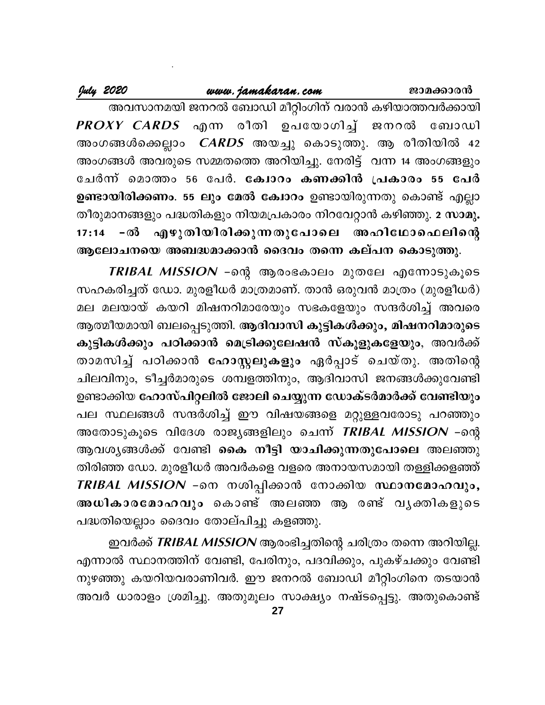## www.jamakaran.com

July 2020

അവസാനമയി ജനറൽ ബോഡി മീറ്റിംഗിന് വരാൻ കഴിയാത്തവർക്കായി PROXY CARDS എന്ന രീതി ഉപയോഗിച്ച് ജനറൽ ബോഡി അംഗങ്ങൾക്കെല്ലാം *CARDS* അയച്ചു കൊടുത്തു. ആ രീതിയിൽ 42 അംഗങ്ങൾ അവരുടെ സമ്മതത്തെ അറിയിച്ചു. നേരിട്ട് വന്ന 14 അംഗങ്ങളും ചേർന്ന് മൊത്തം 56 പേർ. ക്വോറം കണക്കിൻ പ്രകാരം 55 പേർ ഉണ്ടായിരിക്കണം. 55 ലും മേൽ ക്വോറം ഉണ്ടായിരുന്നതു കൊണ്ട് എല്ലാ തീരുമാനങ്ങളും പദ്ധതികളും നിയമപ്രകാരം നിറവേറ്റാൻ കഴിഞ്ഞു. 2 സാമൂ. 17:14 −ൽ എഴുതിയിരിക്കുന്നതുപോലെ അഹിഥോഫെലിന്റെ ആലോചനയെ അബദ്ധമാക്കാൻ ദൈവം തന്നെ കല്പന കൊടുത്തു.

TRIBAL MISSION –ന്റെ ആരംഭകാലം മുതലേ എന്നോടുകൂടെ സഹകരിച്ചത് ഡോ. മുരളീധർ മാത്രമാണ്. താൻ ഒരുവൻ മാത്രം (മുരളീധർ) മല മലയായ് കയറി മിഷനറിമാരേയും സഭകളേയും സന്ദർശിച്ച് അവരെ ആത്മീയമായി ബലപ്പെടുത്തി. ആദിവാസി കുട്ടികൾക്കും, മിഷനറിമാരുടെ കുട്ടികൾക്കും പഠിക്കാൻ മെട്രിക്കുലേഷൻ സ്കൂളുകളേയും, അവർക്ക് താമസിച്ച് പഠിക്കാൻ <mark>ഹോസ്റ്റലുകളും</mark> ഏർപ്പാട് ചെയ്തു. അതിന്റെ ചിലവിനും, ടീച്ചർമാരുടെ ശമ്പളത്തിനും, ആദിവാസി ജനങ്ങൾക്കുവേണ്ടി ഉണ്ടാക്കിയ ഹോസ്പിറ്റലിൽ ജോലി ചെയ്യുന്ന ഡോക്ടർമാർക്ക് വേണ്ടിയും പല സ്ഥലങ്ങൾ സന്ദർശിച്ച് ഈ വിഷയങ്ങളെ മറ്റുള്ളവരോടു പറഞ്ഞും അതോടുകൂടെ വിദേശ രാജ്യങ്ങളിലും ചെന്ന് *TRIBAL MISSION –*ന്റെ ആവശ്യങ്ങൾക്ക് വേണ്ടി കൈ <mark>നീട്ടി യാചിക്കുന്നതുപോലെ</mark> അലഞ്ഞു തിരിഞ്ഞ ഡോ. മുരളീധർ അവർകളെ വളരെ അനായസമായി തള്ളിക്കളഞ്ഞ് TRIBAL MISSION –നെ നശിപ്പിക്കാൻ നോക്കിയ സ്ഥാനമോഹവും, അധികാരമോഹവും കൊണ്ട് അലഞ്ഞ ആ രണ്ട് വൃക്തികളുടെ പദ്ധതിയെല്ലാം ദൈവം തോല്പിച്ചു കളഞ്ഞു.

ഇവർക്ക് TRIBAL MISSION ആരംഭിച്ചതിന്റെ ചരിത്രം തന്നെ അറിയില്ല. എന്നാൽ സ്ഥാനത്തിന് വേണ്ടി, പേരിനും, പദവിക്കും, പുകഴ്ചക്കും വേണ്ടി നുഴഞ്ഞു കയറിയവരാണിവർ. ഈ ജനറൽ ബോഡി മീറ്റിംഗിനെ തടയാൻ അവർ ധാരാളം ശ്രമിച്ചു. അതുമൂലം സാക്ഷ്യം നഷ്ടപ്പെട്ടു. അതുകൊണ്ട്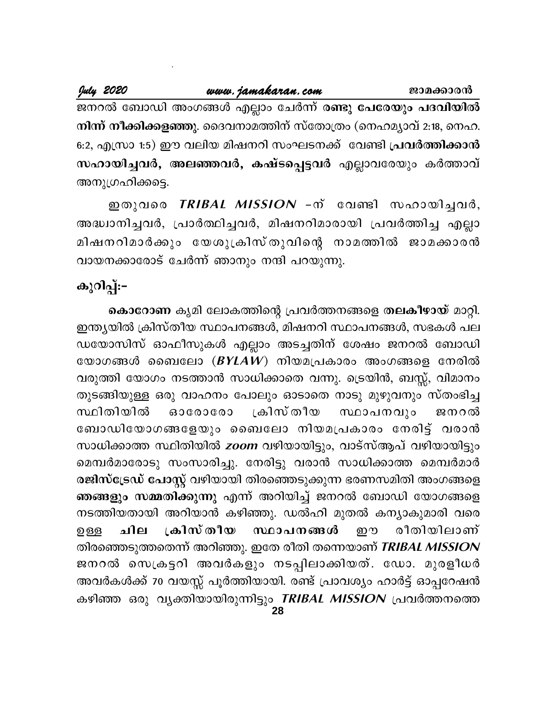ജനറൽ ബോഡി അംഗങ്ങൾ എല്ലാം ചേർന്ന് രണ്ടു പേരേയും പദവിയിൽ നിന്ന് നീക്കിക്കളഞ്ഞു. ദൈവനാമത്തിന് സ്തോത്രം (നെഹമ്യാവ് 2:18, നെഹ. 6:2, എസ്രാ 1:5) ഈ വലിയ മിഷനറി സംഘടനക്ക് വേണ്ടി പ്രവർത്തിക്കാൻ സഹായിച്ചവർ, അലഞ്ഞവർ, കഷ്ടപ്പെട്ടവർ എല്ലാവരേയും കർത്താവ് അനുഗ്രഹിക്കട്ടെ.

ഇതുവരെ *TRIBAL MISSION* -ന് വേണ്ടി സഹായിച്ചവർ, അദ്ധ്വാനിച്ചവർ, പ്രാർത്ഥിച്ചവർ, മിഷനറിമാരായി പ്രവർത്തിച്ച എല്ലാ മിഷനറിമാർക്കും യേശുക്രിസ്തുവിന്റെ നാമത്തിൽ ജാമക്കാരൻ വായനക്കാരോട് ചേർന്ന് ഞാനും നന്ദി പറയുന്നു.

# കുറിപ്പ്:-

കൊറോണ കൃമി ലോകത്തിന്റെ പ്രവർത്തനങ്ങളെ തലകീഴായ് മാറ്റി. ഇന്ത്യയിൽ ക്രിസ്തീയ സ്ഥാപനങ്ങൾ, മിഷനറി സ്ഥാപനങ്ങൾ, സഭകൾ പല ഡയോസിസ് ഓഫീസുകൾ എല്ലാം അടച്ചതിന് ശേഷം ജനറൽ ബോഡി യോഗങ്ങൾ ബൈലോ  $(BYLAW)$  നിയമപ്രകാരം അംഗങ്ങളെ നേരിൽ വരുത്തി യോഗം നടത്താൻ സാധിക്കാതെ വന്നു. ട്രെയിൻ, ബസ്സ്, വിമാനം തുടങ്ങിയുള്ള ഒരു വാഹനം പോലും ഓടാതെ നാടു മുഴുവനും സ്തംഭിച്ച ⊥കിസ്തീയ സ്ഥിതിയിൽ 63000000 സ്ഥാപനവും ജനറൽ ബോഡിയോഗങ്ങളേയും ബൈലോ നിയമപ്രകാരം നേരിട്ട് വരാൻ സാധിക്കാത്ത സ്ഥിതിയിൽ zoom വഴിയായിട്ടും, വാട്സ്ആപ് വഴിയായിട്ടും മെമ്പർമാരോടു സംസാരിച്ചു. നേരിട്ടു വരാൻ സാധിക്കാത്ത മെമ്പർമാർ രജിസ്ട്രേഡ് പോസ്റ്റ് വഴിയായി തിരഞ്ഞെടുക്കുന്ന ഭരണസമിതി അംഗങ്ങളെ ഞങ്ങളും സമ്മതിക്കുന്നു എന്ന് അറിയിച്ച് ജനറൽ ബോഡി യോഗങ്ങളെ നടത്തിയതായി അറിയാൻ കഴിഞ്ഞു. ഡൽഹി മുതൽ കന്യാകുമാരി വരെ ∟കിസ് തീയ സ്ഥാപനങ്ങൾ രീതിയിലാണ് ചില றை ற ஒத തിരഞ്ഞെടുത്തതെന്ന് അറിഞ്ഞു. ഇതേ രീതി തന്നെയാണ് TRIBAL MISSION ജനറൽ സെക്രട്ടറി അവർകളും നടപ്പിലാക്കിയത്. ഡോ. മുരളീധർ അവർകൾക്ക് 70 വയസ്സ് പൂർത്തിയായി. രണ്ട് പ്രാവശ്യം ഹാർട്ട് ഓപ്പറേഷൻ കഴിഞ്ഞ ഒരു വൃക്തിയായിരുന്നിട്ടും TRIBAL MISSION പ്രവർത്തനത്തെ 28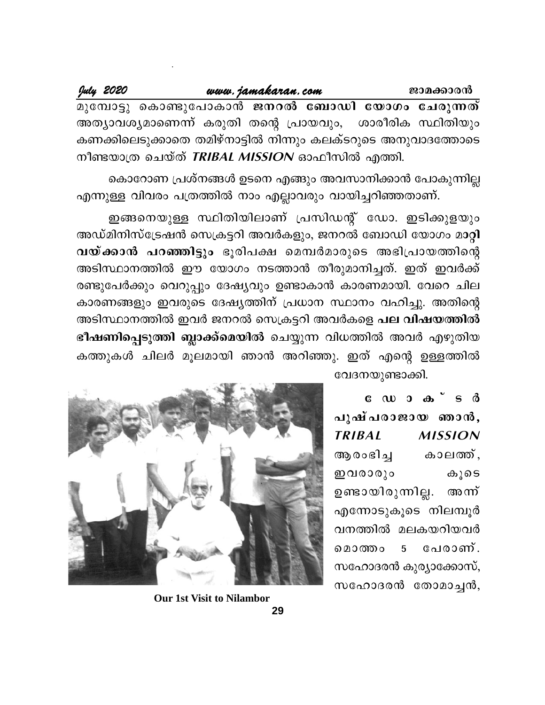|                                                      | July 2020 |  | www.jamakaran.com |  |  |  |  | ജാമക്കാരൻ                                                    |
|------------------------------------------------------|-----------|--|-------------------|--|--|--|--|--------------------------------------------------------------|
|                                                      |           |  |                   |  |  |  |  | മുമ്പോട്ടു കൊണ്ടുപോകാൻ ജനറൽ ബോഡി യോഗം ചേരുന്നത്              |
|                                                      |           |  |                   |  |  |  |  | അത്യാവശ്യമാണെന്ന് കരുതി തന്റെ പ്രായവും, ശാരീരിക സ്ഥിതിയും    |
|                                                      |           |  |                   |  |  |  |  | കണക്കിലെടുക്കാതെ തമിഴ്നാട്ടിൽ നിന്നും കലക്ടറുടെ അനുവാദത്തോടെ |
| നീണ്ടതാത്ര ചെയ്ത് <i>TRIBAL MISSION</i> ഓഫീസിൽ ഛത്തി |           |  |                   |  |  |  |  |                                                              |

കൊറോണ പ്രശ്നങ്ങൾ ഉടനെ എങ്ങും അവസാനിക്കാൻ പോകുന്നില്ല എന്നുള്ള വിവരം പത്രത്തിൽ നാം എല്ലാവരും വായിച്ചറിഞ്ഞതാണ്.

ഇങ്ങനെയുള്ള സ്ഥിതിയിലാണ് പ്രസിഡന്റ് ഡോ. ഇടിക്കുളയും അഡ്മിനിസ്ട്രേഷൻ സെക്രട്ടറി അവർകളും, ജനറൽ ബോഡി യോഗം മാറ്റി വയ്ക്കാൻ പറഞ്ഞിട്ടും ഭൂരിപക്ഷ മെമ്പർമാരുടെ അഭിപ്രായത്തിന്റെ അടിസ്ഥാനത്തിൽ ഈ യോഗം നടത്താൻ തീരുമാനിച്ചത്. ഇത് ഇവർക്ക് രണ്ടുപേർക്കും വെറുപ്പും ദേഷ്യവും ഉണ്ടാകാൻ കാരണമായി. വേറെ ചില കാരണങ്ങളും ഇവരുടെ ദേഷ്യത്തിന് പ്രധാന സ്ഥാനം വഹിച്ചു. അതിന്റെ അടിസ്ഥാനത്തിൽ ഇവർ ജനറൽ സെക്രട്ടറി അവർകളെ പല വിഷയത്തിൽ ഭീഷണിപ്പെടുത്തി ബ്ലാക്ക്മെയിൽ ചെയ്യുന്ന വിധത്തിൽ അവർ എഴുതിയ കത്തുകൾ ചിലർ മൂലമായി ഞാൻ അറിഞ്ഞു. ഇത് എന്റെ ഉള്ളത്തിൽ വേദനയുണ്ടാക്കി.

> $C \cup D$   $D \cup D$   $S \cup S$ പുഷ്പരാജായ ഞാൻ, **TRIBAL MISSION** ആരംഭിച്ച കാലത്ത്, ഇവരാരും കൂടെ ഉണ്ടായിരുന്നില്ല. അന്ന് എന്നോടുകൂടെ നിലമ്പൂർ വനത്തിൽ മലകയറിയവർ മൊത്തം പേരാണ്. 5 സഹോദരൻ കുര്യാക്കോസ്, സഹോദരൻ തോമാച്ചൻ,



**Our 1st Visit to Nilambor**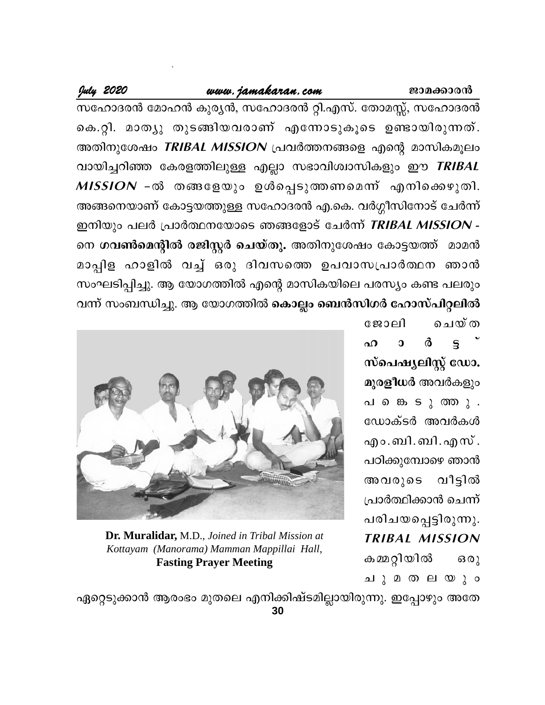#### www.jamakaran.com

### July 2020

സഹോദരൻ മോഹൻ കുര്യൻ, സഹോദരൻ റ്റി.എസ്. തോമസ്സ്, സഹോദരൻ കെ.റ്റി. മാത്യു തുടങ്ങിയവരാണ് എന്നോടുകൂടെ ഉണ്ടായിരുന്നത്. അതിനുശേഷം TRIBAL MISSION പ്രവർത്തനങ്ങളെ എന്റെ മാസികമൂലം വായിച്ചറിഞ്ഞ കേരളത്തിലുള്ള എല്ലാ സഭാവിശ്വാസികളും ഈ *TRIBAL* MISSION -ൽ തങ്ങളേയും ഉൾപ്പെടുത്തണമെന്ന് എനിക്കെഴുതി. അങ്ങനെയാണ് കോട്ടയത്തുള്ള സഹോദരൻ എ.കെ. വർഗ്ഗീസിനോട് ചേർന്ന് ഇനിയും പലർ പ്രാർത്ഥനയോടെ ഞങ്ങളോട് ചേർന്ന് TRIBAL MISSION -നെ <mark>ഗവൺമെന്റിൽ രജിസ്റ്റർ ചെയ്തു.</mark> അതിനുശേഷം കോട്ടയത്ത് മാമൻ മാപ്പിള ഹാളിൽ വച്ച് ഒരു ദിവസത്തെ ഉപവാസപ്രാർത്ഥന ഞാൻ സംഘടിപ്പിച്ചു. ആ യോഗത്തിൽ എന്റെ മാസികയിലെ പരസ്യം കണ്ട പലരും വന്ന് സംബന്ധിച്ചു. ആ യോഗത്തിൽ കൊല്ലം ബെൻസിഗർ ഹോസ്പിറ്റലിൽ

> ജോലി ചെയ്ത ർ ഹ  $\overline{0}$  $\mathbf{S}$ സ്പെഷ്യലിസ്റ്റ് ഡോ. മുരളീധർ അവർകളും പ കെടുത്തു. ഡോക്ടർ അവർകൾ എം.ബി.ബി.എസ്. പഠിക്കുമ്പോഴെ ഞാൻ അവരുടെ വീട്ടിൽ പ്രാർത്ഥിക്കാൻ ചെന്ന് പരിചയപ്പെട്ടിരുന്നു. **TRIBAL MISSION** കമ്മറ്റിയിൽ  $630)$ ചുമതലയും



Dr. Muralidar, M.D., Joined in Tribal Mission at Kottayam (Manorama) Mamman Mappillai Hall, **Fasting Prayer Meeting** 

ഏറ്റെടുക്കാൻ ആരംഭം മുതലെ എനിക്കിഷ്ടമില്ലായിരുന്നു. ഇപ്പോഴും അതേ 30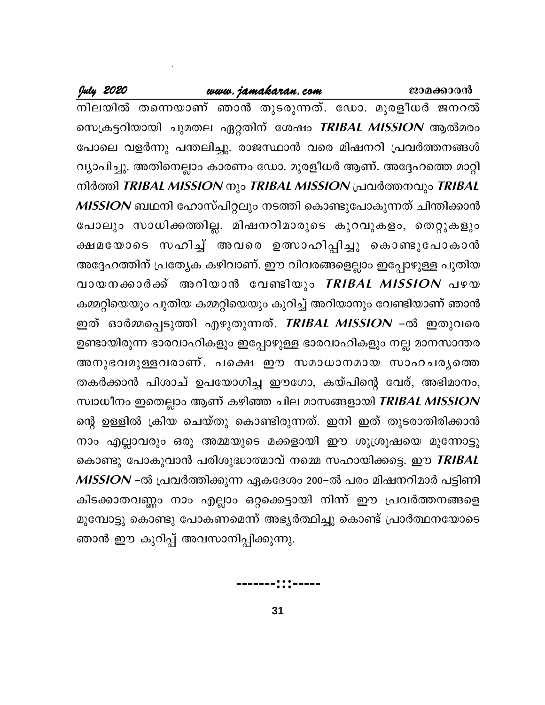നിലയിൽ തന്നെയാണ് ഞാൻ തുടരുന്നത്. ഡോ. മുരളീധർ ജനറൽ സെക്രട്ടറിയായി ചുമതല ഏറ്റതിന് ശേഷം *TRIBAL MISSION* ആൽമരം പോലെ വളർന്നു പന്തലിച്ചു. രാജസ്ഥാൻ വരെ മിഷനറി പ്രവർത്തനങ്ങൾ വ്യാപിച്ചു. അതിനെല്ലാം കാരണം ഡോ. മുരളീധർ ആണ്. അദ്ദേഹത്തെ മാറ്റി നിർത്തി TRIBAL MISSION നും TRIBAL MISSION പ്രവർത്തനവും TRIBAL MISSION ബഥനി ഹോസ്പിറ്റലും നടത്തി കൊണ്ടുപോകുന്നത് ചിന്തിക്കാൻ പോലും സാധിക്കത്തില്ല. മിഷനറിമാരുടെ കുറവുകളം, തെറ്റുകളും ക്ഷമയോടെ സഹിച്ച് അവരെ ഉത്സാഹിപ്പിച്ചു കൊണ്ടുപോകാൻ അദ്ദേഹത്തിന് പ്രത്യേക കഴിവാണ്. ഈ വിവരങ്ങളെല്ലാം ഇപ്പോഴുള്ള പുതിയ വായനക്കാർക്ക് അറിയാൻ വേണ്ടിയും *TRIBAL MISSION* പഴയ കമ്മറ്റിയെയും പുതിയ കമ്മറ്റിയെയും കുറിച്ച് അറിയാനും വേണ്ടിയാണ് ഞാൻ ഇത് ഓർമ്മപ്പെടുത്തി എഴുതുന്നത്. *TRIBAL MISSION –*ൽ ഇതുവരെ ഉണ്ടായിരുന്ന ഭാരവാഹികളും ഇപ്പോഴുള്ള ഭാരവാഹികളും നല്ല മാനസാന്തര അനുഭവമുള്ളവരാണ്. പക്ഷെ ഈ സമാധാനമായ സാഹചര്യത്തെ തകർക്കാൻ പിശാച് ഉപയോഗിച്ച ഈഗോ, കയ്പിന്റെ വേര്, അഭിമാനം, സ്വാധീനം ഇതെല്ലാം ആണ് കഴിഞ്ഞ ചില മാസങ്ങളായി TRIBAL MISSION ന്റെ ഉള്ളിൽ ക്രിയ ചെയ്തു കൊണ്ടിരുന്നത്. ഇനി ഇത് തുടരാതിരിക്കാൻ നാം എല്ലാവരും ഒരു അമ്മയുടെ മക്കളായി ഈ ശുശ്രൂഷയെ മുന്നോട്ടു കൊണ്ടു പോകുവാൻ പരിശുദ്ധാത്മാവ് നമ്മെ സഹായിക്കട്ടെ. ഈ *TRIBAL* MISSION –ൽ പ്രവർത്തിക്കുന്ന ഏകദേശം 200–ൽ പരം മിഷനറിമാർ പട്ടിണി കിടക്കാതവണ്ണം നാം എല്ലാം ഒറ്റക്കെട്ടായി നിന്ന് ഈ പ്രവർത്തനങ്ങളെ മുമ്പോട്ടു കൊണ്ടു പോകണമെന്ന് അഭ്യർത്ഥിച്ചു കൊണ്ട് പ്രാർത്ഥനയോടെ ഞാൻ ഈ കുറിപ്പ് അവസാനിപ്പിക്കുന്നു.